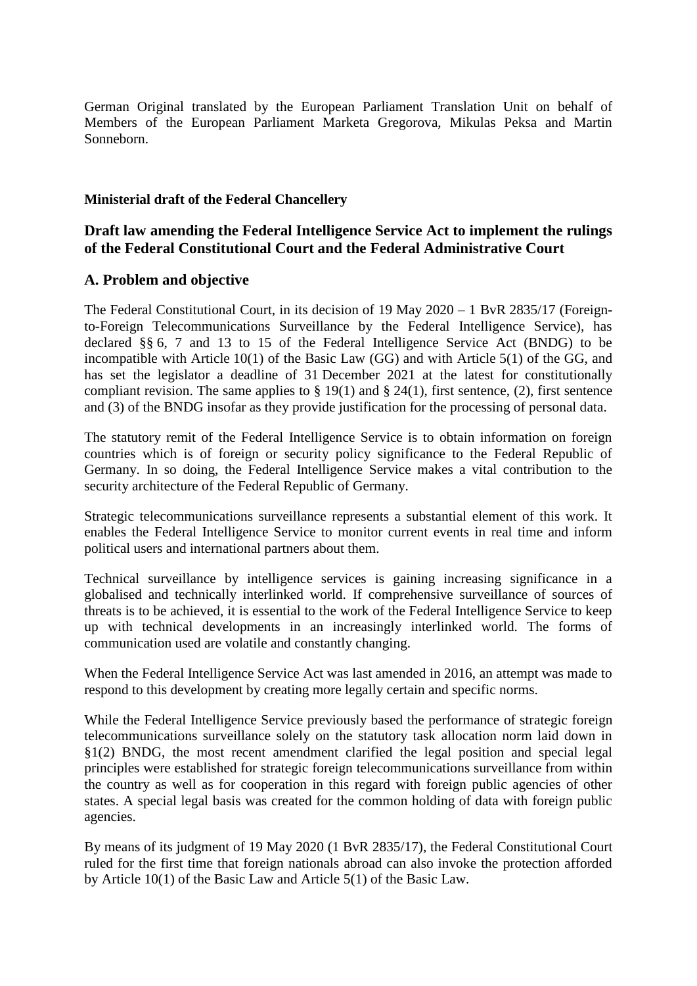German Original translated by the European Parliament Translation Unit on behalf of Members of the European Parliament Marketa Gregorova, Mikulas Peksa and Martin Sonneborn.

# **Ministerial draft of the Federal Chancellery**

# **Draft law amending the Federal Intelligence Service Act to implement the rulings of the Federal Constitutional Court and the Federal Administrative Court**

# **A. Problem and objective**

The Federal Constitutional Court, in its decision of 19 May 2020 – 1 BvR 2835/17 (Foreignto-Foreign Telecommunications Surveillance by the Federal Intelligence Service), has declared §§ 6, 7 and 13 to 15 of the Federal Intelligence Service Act (BNDG) to be incompatible with Article 10(1) of the Basic Law (GG) and with Article 5(1) of the GG, and has set the legislator a deadline of 31 December 2021 at the latest for constitutionally compliant revision. The same applies to  $\S 19(1)$  and  $\S 24(1)$ , first sentence, (2), first sentence and (3) of the BNDG insofar as they provide justification for the processing of personal data.

The statutory remit of the Federal Intelligence Service is to obtain information on foreign countries which is of foreign or security policy significance to the Federal Republic of Germany. In so doing, the Federal Intelligence Service makes a vital contribution to the security architecture of the Federal Republic of Germany.

Strategic telecommunications surveillance represents a substantial element of this work. It enables the Federal Intelligence Service to monitor current events in real time and inform political users and international partners about them.

Technical surveillance by intelligence services is gaining increasing significance in a globalised and technically interlinked world. If comprehensive surveillance of sources of threats is to be achieved, it is essential to the work of the Federal Intelligence Service to keep up with technical developments in an increasingly interlinked world. The forms of communication used are volatile and constantly changing.

When the Federal Intelligence Service Act was last amended in 2016, an attempt was made to respond to this development by creating more legally certain and specific norms.

While the Federal Intelligence Service previously based the performance of strategic foreign telecommunications surveillance solely on the statutory task allocation norm laid down in §1(2) BNDG, the most recent amendment clarified the legal position and special legal principles were established for strategic foreign telecommunications surveillance from within the country as well as for cooperation in this regard with foreign public agencies of other states. A special legal basis was created for the common holding of data with foreign public agencies.

By means of its judgment of 19 May 2020 (1 BvR 2835/17), the Federal Constitutional Court ruled for the first time that foreign nationals abroad can also invoke the protection afforded by Article 10(1) of the Basic Law and Article 5(1) of the Basic Law.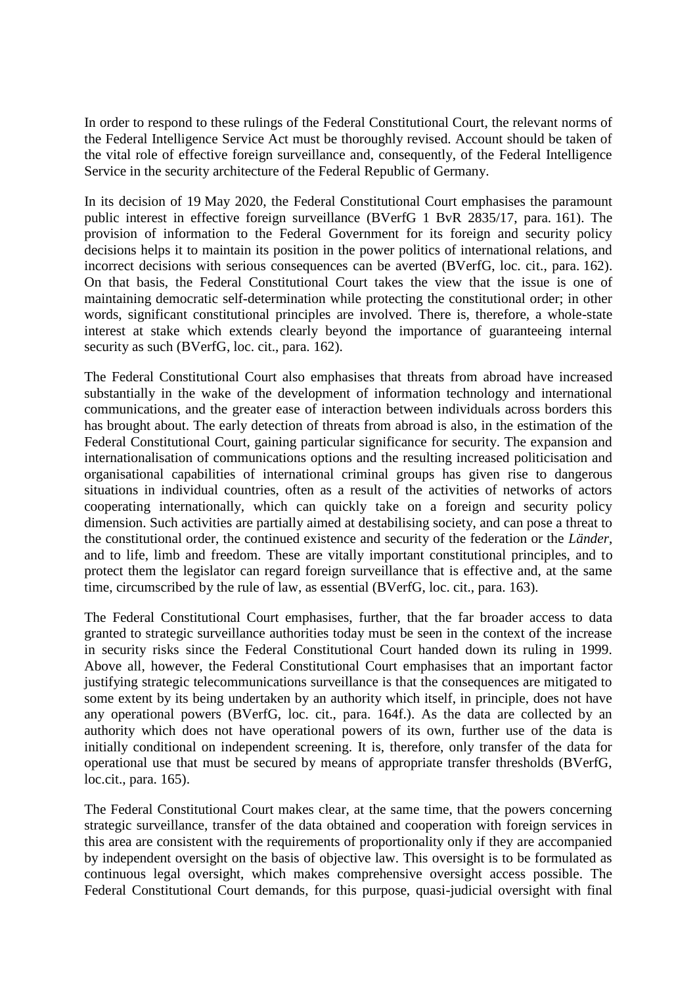In order to respond to these rulings of the Federal Constitutional Court, the relevant norms of the Federal Intelligence Service Act must be thoroughly revised. Account should be taken of the vital role of effective foreign surveillance and, consequently, of the Federal Intelligence Service in the security architecture of the Federal Republic of Germany.

In its decision of 19 May 2020, the Federal Constitutional Court emphasises the paramount public interest in effective foreign surveillance (BVerfG 1 BvR 2835/17, para. 161). The provision of information to the Federal Government for its foreign and security policy decisions helps it to maintain its position in the power politics of international relations, and incorrect decisions with serious consequences can be averted (BVerfG, loc. cit., para. 162). On that basis, the Federal Constitutional Court takes the view that the issue is one of maintaining democratic self-determination while protecting the constitutional order; in other words, significant constitutional principles are involved. There is, therefore, a whole-state interest at stake which extends clearly beyond the importance of guaranteeing internal security as such (BVerfG, loc. cit., para. 162).

The Federal Constitutional Court also emphasises that threats from abroad have increased substantially in the wake of the development of information technology and international communications, and the greater ease of interaction between individuals across borders this has brought about. The early detection of threats from abroad is also, in the estimation of the Federal Constitutional Court, gaining particular significance for security. The expansion and internationalisation of communications options and the resulting increased politicisation and organisational capabilities of international criminal groups has given rise to dangerous situations in individual countries, often as a result of the activities of networks of actors cooperating internationally, which can quickly take on a foreign and security policy dimension. Such activities are partially aimed at destabilising society, and can pose a threat to the constitutional order, the continued existence and security of the federation or the *Länder*, and to life, limb and freedom. These are vitally important constitutional principles, and to protect them the legislator can regard foreign surveillance that is effective and, at the same time, circumscribed by the rule of law, as essential (BVerfG, loc. cit., para. 163).

The Federal Constitutional Court emphasises, further, that the far broader access to data granted to strategic surveillance authorities today must be seen in the context of the increase in security risks since the Federal Constitutional Court handed down its ruling in 1999. Above all, however, the Federal Constitutional Court emphasises that an important factor justifying strategic telecommunications surveillance is that the consequences are mitigated to some extent by its being undertaken by an authority which itself, in principle, does not have any operational powers (BVerfG, loc. cit., para. 164f.). As the data are collected by an authority which does not have operational powers of its own, further use of the data is initially conditional on independent screening. It is, therefore, only transfer of the data for operational use that must be secured by means of appropriate transfer thresholds (BVerfG, loc.cit., para. 165).

The Federal Constitutional Court makes clear, at the same time, that the powers concerning strategic surveillance, transfer of the data obtained and cooperation with foreign services in this area are consistent with the requirements of proportionality only if they are accompanied by independent oversight on the basis of objective law. This oversight is to be formulated as continuous legal oversight, which makes comprehensive oversight access possible. The Federal Constitutional Court demands, for this purpose, quasi-judicial oversight with final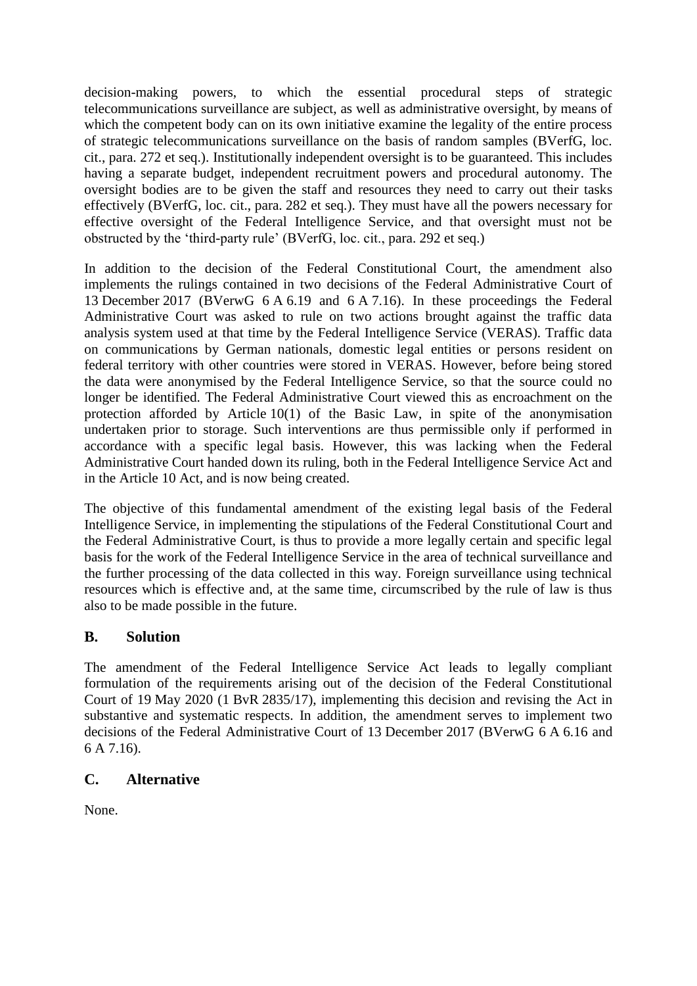decision-making powers, to which the essential procedural steps of strategic telecommunications surveillance are subject, as well as administrative oversight, by means of which the competent body can on its own initiative examine the legality of the entire process of strategic telecommunications surveillance on the basis of random samples (BVerfG, loc. cit., para. 272 et seq.). Institutionally independent oversight is to be guaranteed. This includes having a separate budget, independent recruitment powers and procedural autonomy. The oversight bodies are to be given the staff and resources they need to carry out their tasks effectively (BVerfG, loc. cit., para. 282 et seq.). They must have all the powers necessary for effective oversight of the Federal Intelligence Service, and that oversight must not be obstructed by the 'third-party rule' (BVerfG, loc. cit., para. 292 et seq.)

In addition to the decision of the Federal Constitutional Court, the amendment also implements the rulings contained in two decisions of the Federal Administrative Court of 13 December 2017 (BVerwG 6 A 6.19 and 6 A 7.16). In these proceedings the Federal Administrative Court was asked to rule on two actions brought against the traffic data analysis system used at that time by the Federal Intelligence Service (VERAS). Traffic data on communications by German nationals, domestic legal entities or persons resident on federal territory with other countries were stored in VERAS. However, before being stored the data were anonymised by the Federal Intelligence Service, so that the source could no longer be identified. The Federal Administrative Court viewed this as encroachment on the protection afforded by Article 10(1) of the Basic Law, in spite of the anonymisation undertaken prior to storage. Such interventions are thus permissible only if performed in accordance with a specific legal basis. However, this was lacking when the Federal Administrative Court handed down its ruling, both in the Federal Intelligence Service Act and in the Article 10 Act, and is now being created.

The objective of this fundamental amendment of the existing legal basis of the Federal Intelligence Service, in implementing the stipulations of the Federal Constitutional Court and the Federal Administrative Court, is thus to provide a more legally certain and specific legal basis for the work of the Federal Intelligence Service in the area of technical surveillance and the further processing of the data collected in this way. Foreign surveillance using technical resources which is effective and, at the same time, circumscribed by the rule of law is thus also to be made possible in the future.

# **B. Solution**

The amendment of the Federal Intelligence Service Act leads to legally compliant formulation of the requirements arising out of the decision of the Federal Constitutional Court of 19 May 2020 (1 BvR 2835/17), implementing this decision and revising the Act in substantive and systematic respects. In addition, the amendment serves to implement two decisions of the Federal Administrative Court of 13 December 2017 (BVerwG 6 A 6.16 and 6 A 7.16).

# **C. Alternative**

None.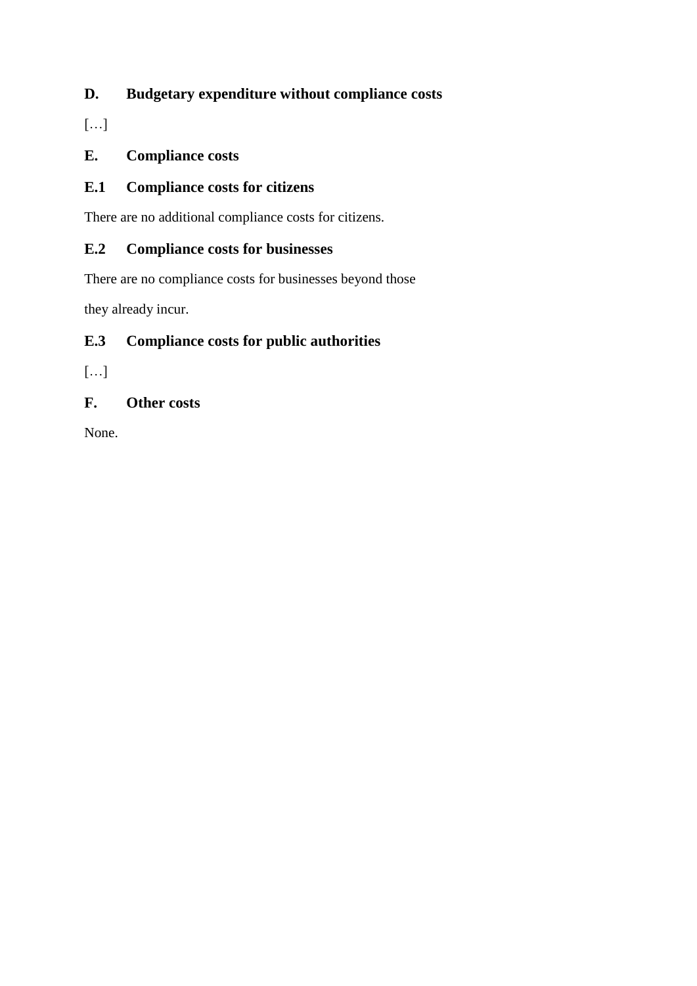# **D. Budgetary expenditure without compliance costs**

[…]

# **E. Compliance costs**

# **E.1 Compliance costs for citizens**

There are no additional compliance costs for citizens.

# **E.2 Compliance costs for businesses**

There are no compliance costs for businesses beyond those

they already incur.

# **E.3 Compliance costs for public authorities**

 $[...]$ 

# **F. Other costs**

None.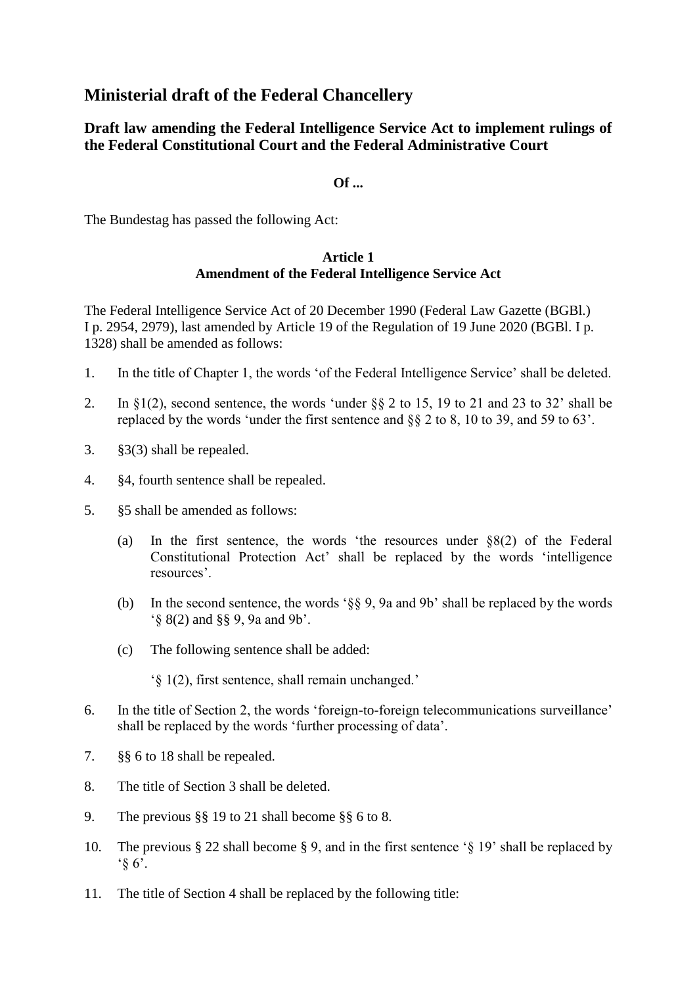# **Ministerial draft of the Federal Chancellery**

# **Draft law amending the Federal Intelligence Service Act to implement rulings of the Federal Constitutional Court and the Federal Administrative Court**

# **Of ...**

The Bundestag has passed the following Act:

# **Article 1 Amendment of the Federal Intelligence Service Act**

The Federal Intelligence Service Act of 20 December 1990 (Federal Law Gazette (BGBl.) I p. 2954, 2979), last amended by Article 19 of the Regulation of 19 June 2020 (BGBl. I p. 1328) shall be amended as follows:

- 1. In the title of Chapter 1, the words 'of the Federal Intelligence Service' shall be deleted.
- 2. In  $\S1(2)$ , second sentence, the words 'under  $\S8$  2 to 15, 19 to 21 and 23 to 32' shall be replaced by the words 'under the first sentence and §§ 2 to 8, 10 to 39, and 59 to 63'.
- 3. §3(3) shall be repealed.
- 4. §4, fourth sentence shall be repealed.
- 5. §5 shall be amended as follows:
	- (a) In the first sentence, the words 'the resources under §8(2) of the Federal Constitutional Protection Act' shall be replaced by the words 'intelligence resources'.
	- (b) In the second sentence, the words '§§ 9, 9a and 9b' shall be replaced by the words '§ 8(2) and §§ 9, 9a and 9b'.
	- (c) The following sentence shall be added:

'§ 1(2), first sentence, shall remain unchanged.'

- 6. In the title of Section 2, the words 'foreign-to-foreign telecommunications surveillance' shall be replaced by the words 'further processing of data'.
- 7. §§ 6 to 18 shall be repealed.
- 8. The title of Section 3 shall be deleted.
- 9. The previous §§ 19 to 21 shall become §§ 6 to 8.
- 10. The previous § 22 shall become § 9, and in the first sentence '§ 19' shall be replaced by  $\hat{\S}$  6'.
- 11. The title of Section 4 shall be replaced by the following title: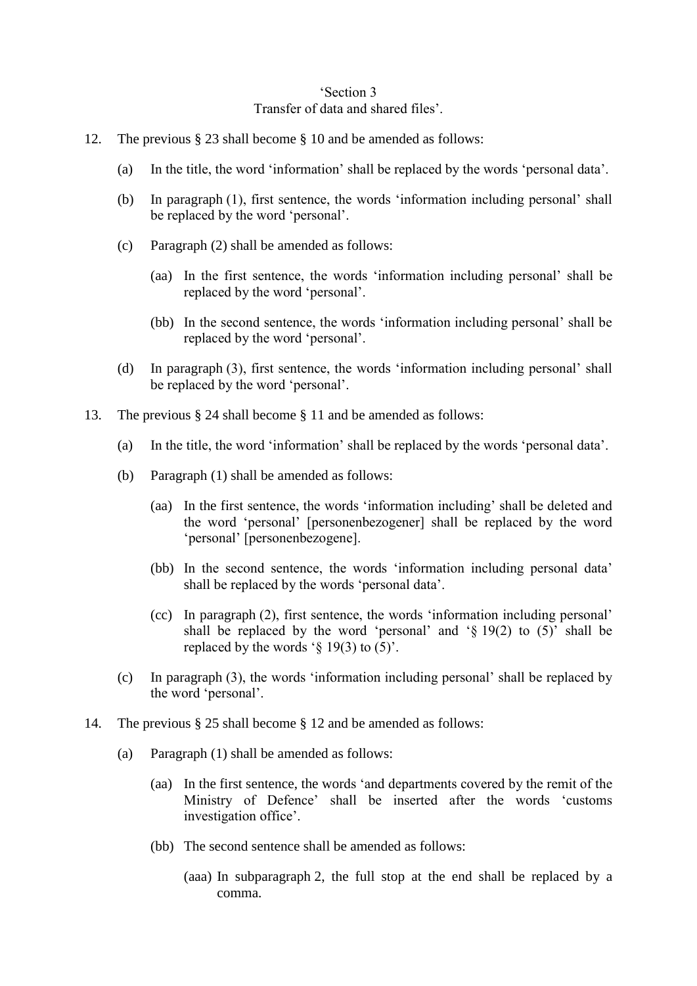### 'Section 3 Transfer of data and shared files'.

- 12. The previous § 23 shall become § 10 and be amended as follows:
	- (a) In the title, the word 'information' shall be replaced by the words 'personal data'.
	- (b) In paragraph (1), first sentence, the words 'information including personal' shall be replaced by the word 'personal'.
	- (c) Paragraph (2) shall be amended as follows:
		- (aa) In the first sentence, the words 'information including personal' shall be replaced by the word 'personal'.
		- (bb) In the second sentence, the words 'information including personal' shall be replaced by the word 'personal'.
	- (d) In paragraph (3), first sentence, the words 'information including personal' shall be replaced by the word 'personal'.
- 13. The previous § 24 shall become § 11 and be amended as follows:
	- (a) In the title, the word 'information' shall be replaced by the words 'personal data'.
	- (b) Paragraph (1) shall be amended as follows:
		- (aa) In the first sentence, the words 'information including' shall be deleted and the word 'personal' [personenbezogener] shall be replaced by the word 'personal' [personenbezogene].
		- (bb) In the second sentence, the words 'information including personal data' shall be replaced by the words 'personal data'.
		- (cc) In paragraph (2), first sentence, the words 'information including personal' shall be replaced by the word 'personal' and ' $\S$  19(2) to (5)' shall be replaced by the words  $\hat{ }$  (5) to (5).
	- (c) In paragraph (3), the words 'information including personal' shall be replaced by the word 'personal'.
- 14. The previous § 25 shall become § 12 and be amended as follows:
	- (a) Paragraph (1) shall be amended as follows:
		- (aa) In the first sentence, the words 'and departments covered by the remit of the Ministry of Defence' shall be inserted after the words 'customs investigation office'.
		- (bb) The second sentence shall be amended as follows:
			- (aaa) In subparagraph 2, the full stop at the end shall be replaced by a comma.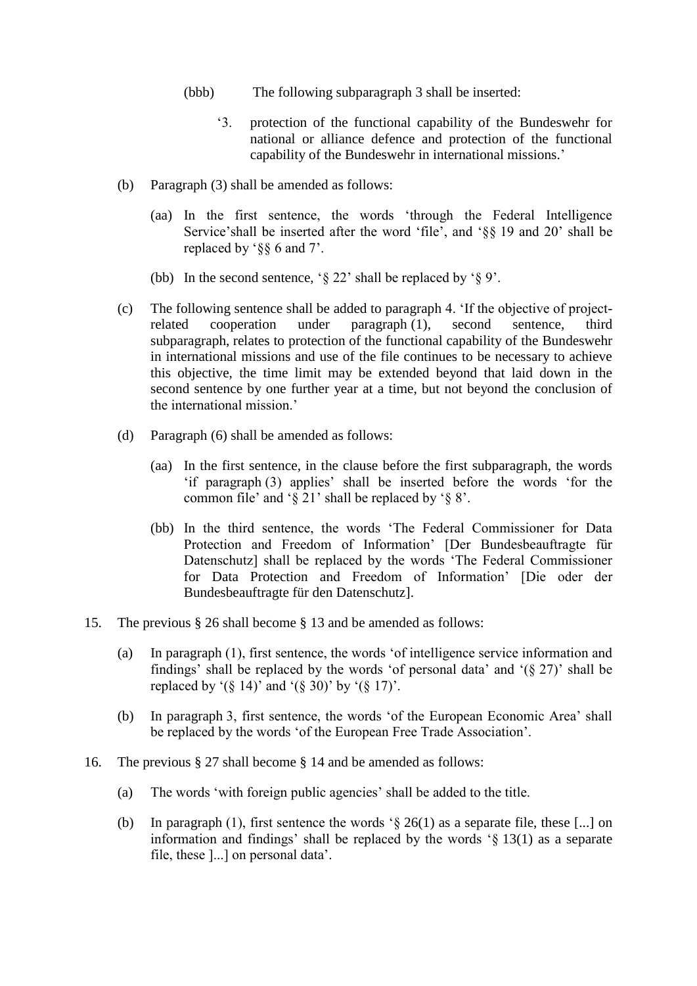- (bbb) The following subparagraph 3 shall be inserted:
	- '3. protection of the functional capability of the Bundeswehr for national or alliance defence and protection of the functional capability of the Bundeswehr in international missions.'
- (b) Paragraph (3) shall be amended as follows:
	- (aa) In the first sentence, the words 'through the Federal Intelligence Service'shall be inserted after the word 'file', and '§§ 19 and 20' shall be replaced by '§§ 6 and 7'.
	- (bb) In the second sentence, '§ 22' shall be replaced by '§ 9'.
- (c) The following sentence shall be added to paragraph 4. 'If the objective of projectrelated cooperation under paragraph (1), second sentence, third subparagraph, relates to protection of the functional capability of the Bundeswehr in international missions and use of the file continues to be necessary to achieve this objective, the time limit may be extended beyond that laid down in the second sentence by one further year at a time, but not beyond the conclusion of the international mission.'
- (d) Paragraph (6) shall be amended as follows:
	- (aa) In the first sentence, in the clause before the first subparagraph, the words 'if paragraph (3) applies' shall be inserted before the words 'for the common file' and '§ 21' shall be replaced by '§ 8'.
	- (bb) In the third sentence, the words 'The Federal Commissioner for Data Protection and Freedom of Information' [Der Bundesbeauftragte für Datenschutz] shall be replaced by the words 'The Federal Commissioner for Data Protection and Freedom of Information' [Die oder der Bundesbeauftragte für den Datenschutz].
- 15. The previous § 26 shall become § 13 and be amended as follows:
	- (a) In paragraph (1), first sentence, the words 'of intelligence service information and findings' shall be replaced by the words 'of personal data' and ' $(\S 27)$ ' shall be replaced by '( $\S$  14)' and '( $\S$  30)' by '( $\S$  17)'.
	- (b) In paragraph 3, first sentence, the words 'of the European Economic Area' shall be replaced by the words 'of the European Free Trade Association'.
- 16. The previous § 27 shall become § 14 and be amended as follows:
	- (a) The words 'with foreign public agencies' shall be added to the title.
	- (b) In paragraph (1), first sentence the words  $\hat{S}$  26(1) as a separate file, these [...] on information and findings' shall be replaced by the words '§ 13(1) as a separate file, these ]...] on personal data'.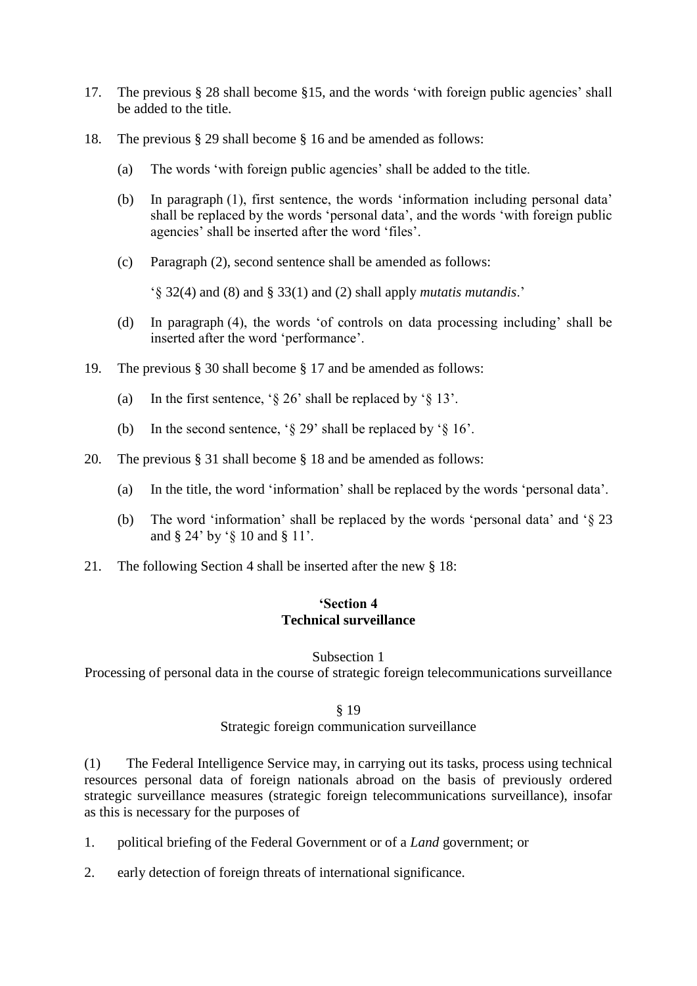- 17. The previous § 28 shall become §15, and the words 'with foreign public agencies' shall be added to the title.
- 18. The previous § 29 shall become § 16 and be amended as follows:
	- (a) The words 'with foreign public agencies' shall be added to the title.
	- (b) In paragraph (1), first sentence, the words 'information including personal data' shall be replaced by the words 'personal data', and the words 'with foreign public agencies' shall be inserted after the word 'files'.
	- (c) Paragraph (2), second sentence shall be amended as follows:

'§ 32(4) and (8) and § 33(1) and (2) shall apply *mutatis mutandis*.'

- (d) In paragraph (4), the words 'of controls on data processing including' shall be inserted after the word 'performance'.
- 19. The previous § 30 shall become § 17 and be amended as follows:
	- (a) In the first sentence,  $\frac{1}{2}$  and  $\frac{1}{2}$  be replaced by  $\frac{1}{2}$  13'.
	- (b) In the second sentence, ' $\S 29'$  shall be replaced by ' $\S 16'$ .
- 20. The previous § 31 shall become § 18 and be amended as follows:
	- (a) In the title, the word 'information' shall be replaced by the words 'personal data'.
	- (b) The word 'information' shall be replaced by the words 'personal data' and '§ 23 and § 24' by '§ 10 and § 11'.
- 21. The following Section 4 shall be inserted after the new § 18:

# **'Section 4 Technical surveillance**

### Subsection 1

Processing of personal data in the course of strategic foreign telecommunications surveillance

### § 19

### Strategic foreign communication surveillance

(1) The Federal Intelligence Service may, in carrying out its tasks, process using technical resources personal data of foreign nationals abroad on the basis of previously ordered strategic surveillance measures (strategic foreign telecommunications surveillance), insofar as this is necessary for the purposes of

- 1. political briefing of the Federal Government or of a *Land* government; or
- 2. early detection of foreign threats of international significance.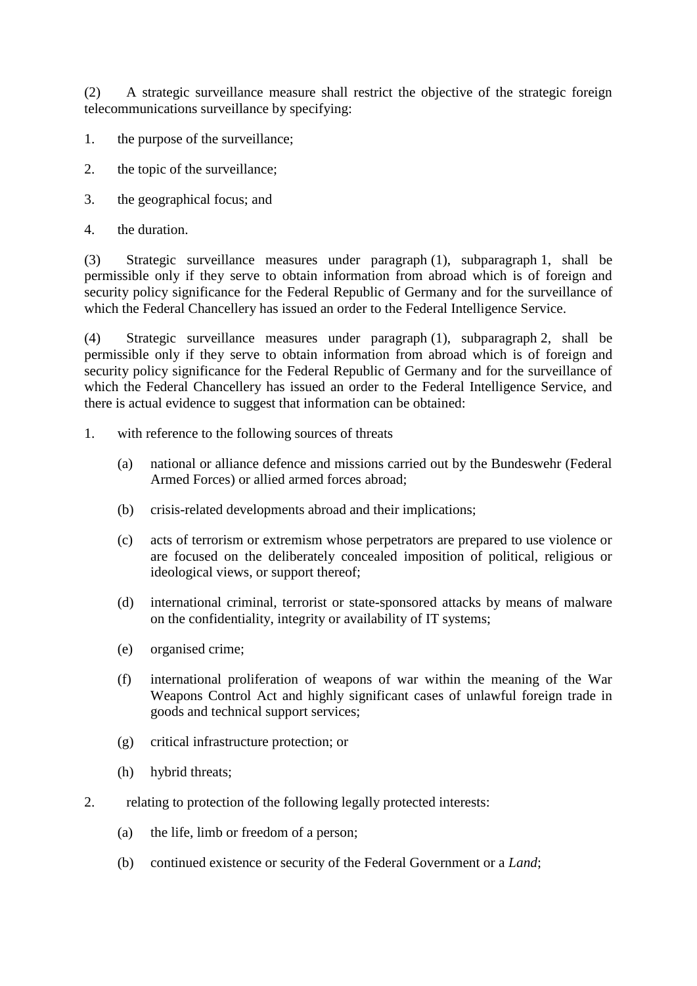(2) A strategic surveillance measure shall restrict the objective of the strategic foreign telecommunications surveillance by specifying:

- 1. the purpose of the surveillance;
- 2. the topic of the surveillance;
- 3. the geographical focus; and
- 4. the duration.

(3) Strategic surveillance measures under paragraph (1), subparagraph 1, shall be permissible only if they serve to obtain information from abroad which is of foreign and security policy significance for the Federal Republic of Germany and for the surveillance of which the Federal Chancellery has issued an order to the Federal Intelligence Service.

(4) Strategic surveillance measures under paragraph (1), subparagraph 2, shall be permissible only if they serve to obtain information from abroad which is of foreign and security policy significance for the Federal Republic of Germany and for the surveillance of which the Federal Chancellery has issued an order to the Federal Intelligence Service, and there is actual evidence to suggest that information can be obtained:

- 1. with reference to the following sources of threats
	- (a) national or alliance defence and missions carried out by the Bundeswehr (Federal Armed Forces) or allied armed forces abroad;
	- (b) crisis-related developments abroad and their implications;
	- (c) acts of terrorism or extremism whose perpetrators are prepared to use violence or are focused on the deliberately concealed imposition of political, religious or ideological views, or support thereof;
	- (d) international criminal, terrorist or state-sponsored attacks by means of malware on the confidentiality, integrity or availability of IT systems;
	- (e) organised crime;
	- (f) international proliferation of weapons of war within the meaning of the War Weapons Control Act and highly significant cases of unlawful foreign trade in goods and technical support services;
	- (g) critical infrastructure protection; or
	- (h) hybrid threats;
- 2. relating to protection of the following legally protected interests:
	- (a) the life, limb or freedom of a person;
	- (b) continued existence or security of the Federal Government or a *Land*;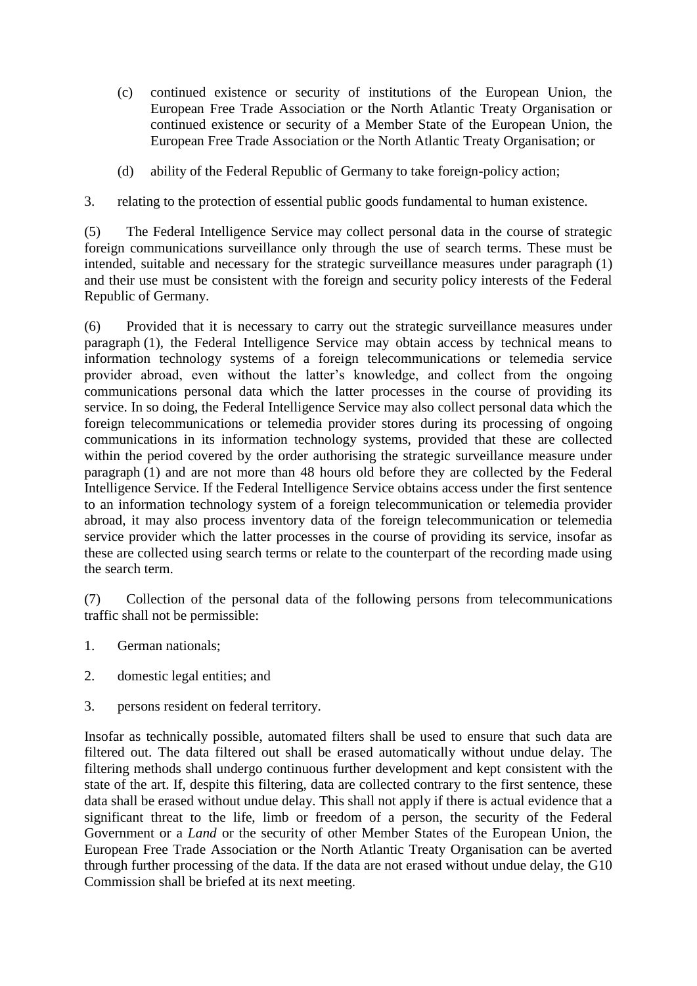- (c) continued existence or security of institutions of the European Union, the European Free Trade Association or the North Atlantic Treaty Organisation or continued existence or security of a Member State of the European Union, the European Free Trade Association or the North Atlantic Treaty Organisation; or
- (d) ability of the Federal Republic of Germany to take foreign-policy action;
- 3. relating to the protection of essential public goods fundamental to human existence.

(5) The Federal Intelligence Service may collect personal data in the course of strategic foreign communications surveillance only through the use of search terms. These must be intended, suitable and necessary for the strategic surveillance measures under paragraph (1) and their use must be consistent with the foreign and security policy interests of the Federal Republic of Germany.

(6) Provided that it is necessary to carry out the strategic surveillance measures under paragraph (1), the Federal Intelligence Service may obtain access by technical means to information technology systems of a foreign telecommunications or telemedia service provider abroad, even without the latter's knowledge, and collect from the ongoing communications personal data which the latter processes in the course of providing its service. In so doing, the Federal Intelligence Service may also collect personal data which the foreign telecommunications or telemedia provider stores during its processing of ongoing communications in its information technology systems, provided that these are collected within the period covered by the order authorising the strategic surveillance measure under paragraph (1) and are not more than 48 hours old before they are collected by the Federal Intelligence Service. If the Federal Intelligence Service obtains access under the first sentence to an information technology system of a foreign telecommunication or telemedia provider abroad, it may also process inventory data of the foreign telecommunication or telemedia service provider which the latter processes in the course of providing its service, insofar as these are collected using search terms or relate to the counterpart of the recording made using the search term.

(7) Collection of the personal data of the following persons from telecommunications traffic shall not be permissible:

- 1. German nationals;
- 2. domestic legal entities; and
- 3. persons resident on federal territory.

Insofar as technically possible, automated filters shall be used to ensure that such data are filtered out. The data filtered out shall be erased automatically without undue delay. The filtering methods shall undergo continuous further development and kept consistent with the state of the art. If, despite this filtering, data are collected contrary to the first sentence, these data shall be erased without undue delay. This shall not apply if there is actual evidence that a significant threat to the life, limb or freedom of a person, the security of the Federal Government or a *Land* or the security of other Member States of the European Union, the European Free Trade Association or the North Atlantic Treaty Organisation can be averted through further processing of the data. If the data are not erased without undue delay, the G10 Commission shall be briefed at its next meeting.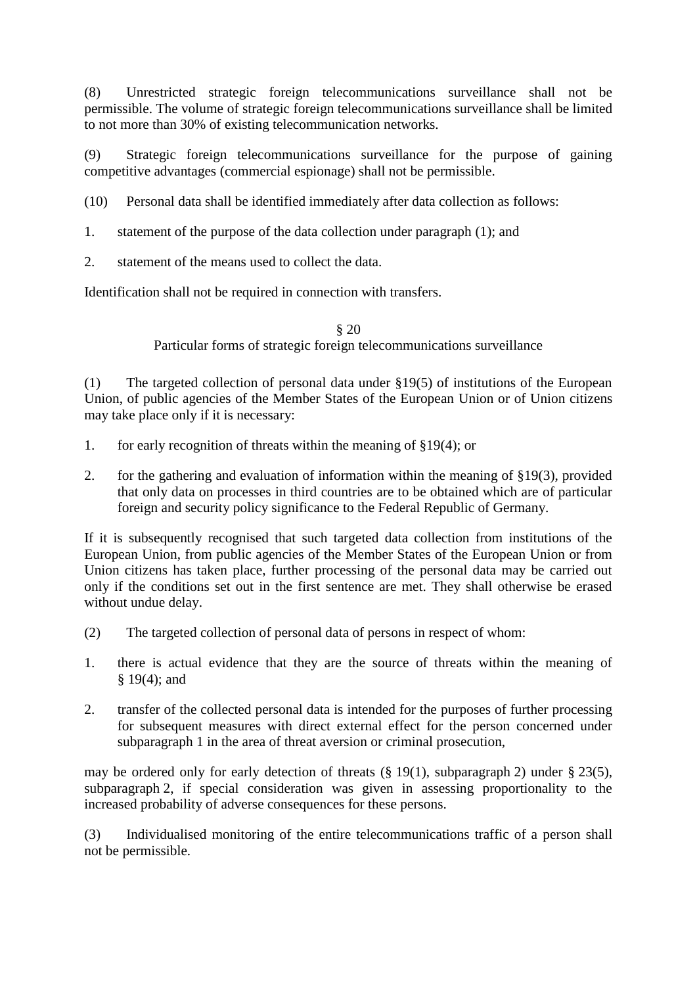(8) Unrestricted strategic foreign telecommunications surveillance shall not be permissible. The volume of strategic foreign telecommunications surveillance shall be limited to not more than 30% of existing telecommunication networks.

(9) Strategic foreign telecommunications surveillance for the purpose of gaining competitive advantages (commercial espionage) shall not be permissible.

(10) Personal data shall be identified immediately after data collection as follows:

1. statement of the purpose of the data collection under paragraph (1); and

2. statement of the means used to collect the data.

Identification shall not be required in connection with transfers.

§ 20 Particular forms of strategic foreign telecommunications surveillance

(1) The targeted collection of personal data under §19(5) of institutions of the European Union, of public agencies of the Member States of the European Union or of Union citizens may take place only if it is necessary:

- 1. for early recognition of threats within the meaning of §19(4); or
- 2. for the gathering and evaluation of information within the meaning of §19(3), provided that only data on processes in third countries are to be obtained which are of particular foreign and security policy significance to the Federal Republic of Germany.

If it is subsequently recognised that such targeted data collection from institutions of the European Union, from public agencies of the Member States of the European Union or from Union citizens has taken place, further processing of the personal data may be carried out only if the conditions set out in the first sentence are met. They shall otherwise be erased without undue delay.

- (2) The targeted collection of personal data of persons in respect of whom:
- 1. there is actual evidence that they are the source of threats within the meaning of § 19(4); and
- 2. transfer of the collected personal data is intended for the purposes of further processing for subsequent measures with direct external effect for the person concerned under subparagraph 1 in the area of threat aversion or criminal prosecution,

may be ordered only for early detection of threats (§ 19(1), subparagraph 2) under § 23(5), subparagraph 2, if special consideration was given in assessing proportionality to the increased probability of adverse consequences for these persons.

(3) Individualised monitoring of the entire telecommunications traffic of a person shall not be permissible.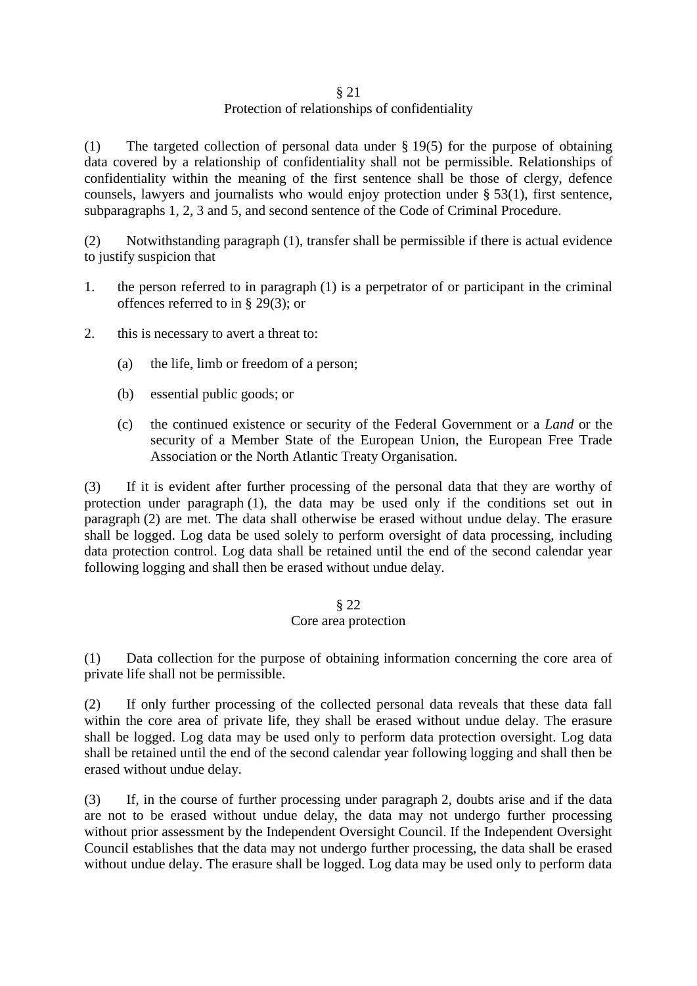#### § 21

# Protection of relationships of confidentiality

(1) The targeted collection of personal data under § 19(5) for the purpose of obtaining data covered by a relationship of confidentiality shall not be permissible. Relationships of confidentiality within the meaning of the first sentence shall be those of clergy, defence counsels, lawyers and journalists who would enjoy protection under § 53(1), first sentence, subparagraphs 1, 2, 3 and 5, and second sentence of the Code of Criminal Procedure.

(2) Notwithstanding paragraph (1), transfer shall be permissible if there is actual evidence to justify suspicion that

- 1. the person referred to in paragraph (1) is a perpetrator of or participant in the criminal offences referred to in § 29(3); or
- 2. this is necessary to avert a threat to:
	- (a) the life, limb or freedom of a person;
	- (b) essential public goods; or
	- (c) the continued existence or security of the Federal Government or a *Land* or the security of a Member State of the European Union, the European Free Trade Association or the North Atlantic Treaty Organisation.

(3) If it is evident after further processing of the personal data that they are worthy of protection under paragraph (1), the data may be used only if the conditions set out in paragraph (2) are met. The data shall otherwise be erased without undue delay. The erasure shall be logged. Log data be used solely to perform oversight of data processing, including data protection control. Log data shall be retained until the end of the second calendar year following logging and shall then be erased without undue delay.

# § 22 Core area protection

(1) Data collection for the purpose of obtaining information concerning the core area of private life shall not be permissible.

(2) If only further processing of the collected personal data reveals that these data fall within the core area of private life, they shall be erased without undue delay. The erasure shall be logged. Log data may be used only to perform data protection oversight. Log data shall be retained until the end of the second calendar year following logging and shall then be erased without undue delay.

(3) If, in the course of further processing under paragraph 2, doubts arise and if the data are not to be erased without undue delay, the data may not undergo further processing without prior assessment by the Independent Oversight Council. If the Independent Oversight Council establishes that the data may not undergo further processing, the data shall be erased without undue delay. The erasure shall be logged. Log data may be used only to perform data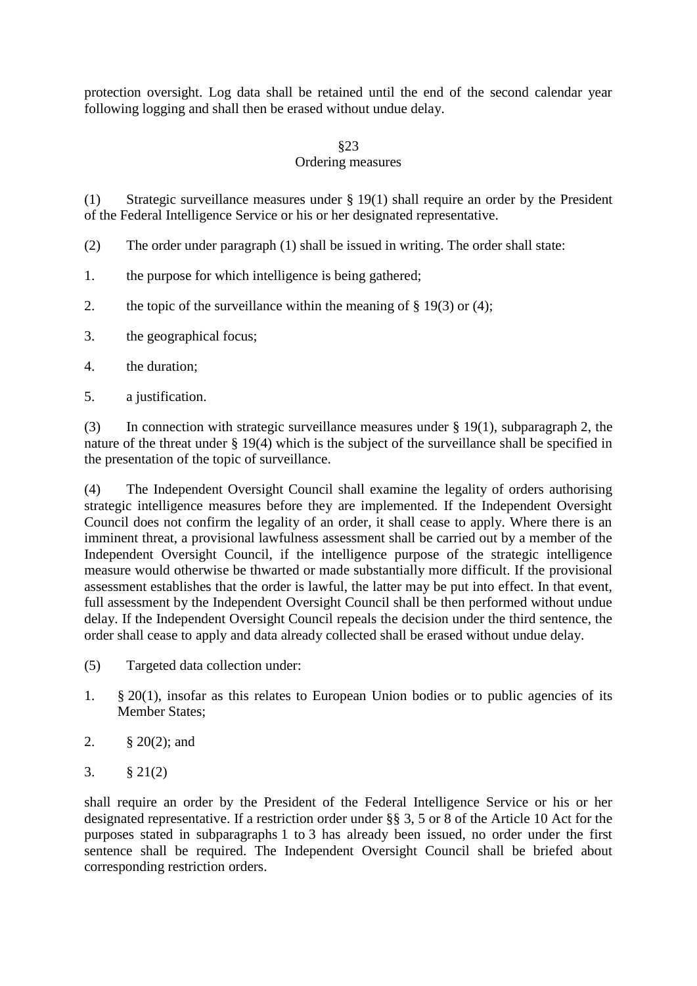protection oversight. Log data shall be retained until the end of the second calendar year following logging and shall then be erased without undue delay.

# §23

# Ordering measures

(1) Strategic surveillance measures under § 19(1) shall require an order by the President of the Federal Intelligence Service or his or her designated representative.

- (2) The order under paragraph (1) shall be issued in writing. The order shall state:
- 1. the purpose for which intelligence is being gathered;
- 2. the topic of the surveillance within the meaning of  $\S$  19(3) or (4);
- 3. the geographical focus;
- 4. the duration;
- 5. a justification.

(3) In connection with strategic surveillance measures under § 19(1), subparagraph 2, the nature of the threat under § 19(4) which is the subject of the surveillance shall be specified in the presentation of the topic of surveillance.

(4) The Independent Oversight Council shall examine the legality of orders authorising strategic intelligence measures before they are implemented. If the Independent Oversight Council does not confirm the legality of an order, it shall cease to apply. Where there is an imminent threat, a provisional lawfulness assessment shall be carried out by a member of the Independent Oversight Council, if the intelligence purpose of the strategic intelligence measure would otherwise be thwarted or made substantially more difficult. If the provisional assessment establishes that the order is lawful, the latter may be put into effect. In that event, full assessment by the Independent Oversight Council shall be then performed without undue delay. If the Independent Oversight Council repeals the decision under the third sentence, the order shall cease to apply and data already collected shall be erased without undue delay.

- (5) Targeted data collection under:
- 1. § 20(1), insofar as this relates to European Union bodies or to public agencies of its Member States;
- 2. § 20(2); and
- 3. § 21(2)

shall require an order by the President of the Federal Intelligence Service or his or her designated representative. If a restriction order under §§ 3, 5 or 8 of the Article 10 Act for the purposes stated in subparagraphs 1 to 3 has already been issued, no order under the first sentence shall be required. The Independent Oversight Council shall be briefed about corresponding restriction orders.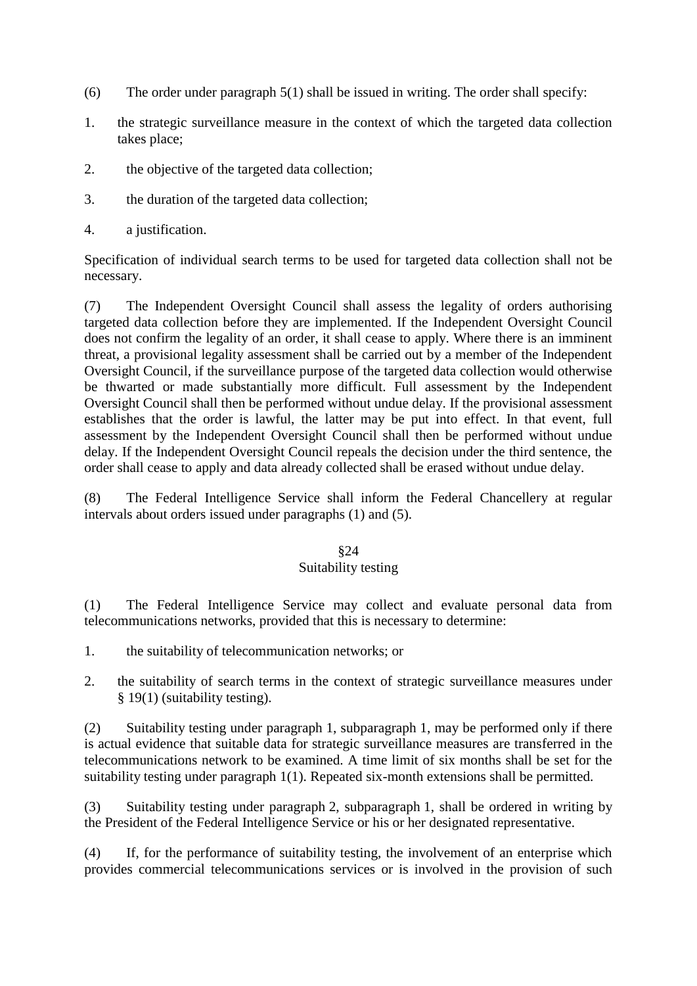- (6) The order under paragraph 5(1) shall be issued in writing. The order shall specify:
- 1. the strategic surveillance measure in the context of which the targeted data collection takes place;
- 2. the objective of the targeted data collection;
- 3. the duration of the targeted data collection;
- 4. a justification.

Specification of individual search terms to be used for targeted data collection shall not be necessary.

(7) The Independent Oversight Council shall assess the legality of orders authorising targeted data collection before they are implemented. If the Independent Oversight Council does not confirm the legality of an order, it shall cease to apply. Where there is an imminent threat, a provisional legality assessment shall be carried out by a member of the Independent Oversight Council, if the surveillance purpose of the targeted data collection would otherwise be thwarted or made substantially more difficult. Full assessment by the Independent Oversight Council shall then be performed without undue delay. If the provisional assessment establishes that the order is lawful, the latter may be put into effect. In that event, full assessment by the Independent Oversight Council shall then be performed without undue delay. If the Independent Oversight Council repeals the decision under the third sentence, the order shall cease to apply and data already collected shall be erased without undue delay.

(8) The Federal Intelligence Service shall inform the Federal Chancellery at regular intervals about orders issued under paragraphs (1) and (5).

# §24 Suitability testing

(1) The Federal Intelligence Service may collect and evaluate personal data from telecommunications networks, provided that this is necessary to determine:

- 1. the suitability of telecommunication networks; or
- 2. the suitability of search terms in the context of strategic surveillance measures under § 19(1) (suitability testing).

(2) Suitability testing under paragraph 1, subparagraph 1, may be performed only if there is actual evidence that suitable data for strategic surveillance measures are transferred in the telecommunications network to be examined. A time limit of six months shall be set for the suitability testing under paragraph 1(1). Repeated six-month extensions shall be permitted.

(3) Suitability testing under paragraph 2, subparagraph 1, shall be ordered in writing by the President of the Federal Intelligence Service or his or her designated representative.

(4) If, for the performance of suitability testing, the involvement of an enterprise which provides commercial telecommunications services or is involved in the provision of such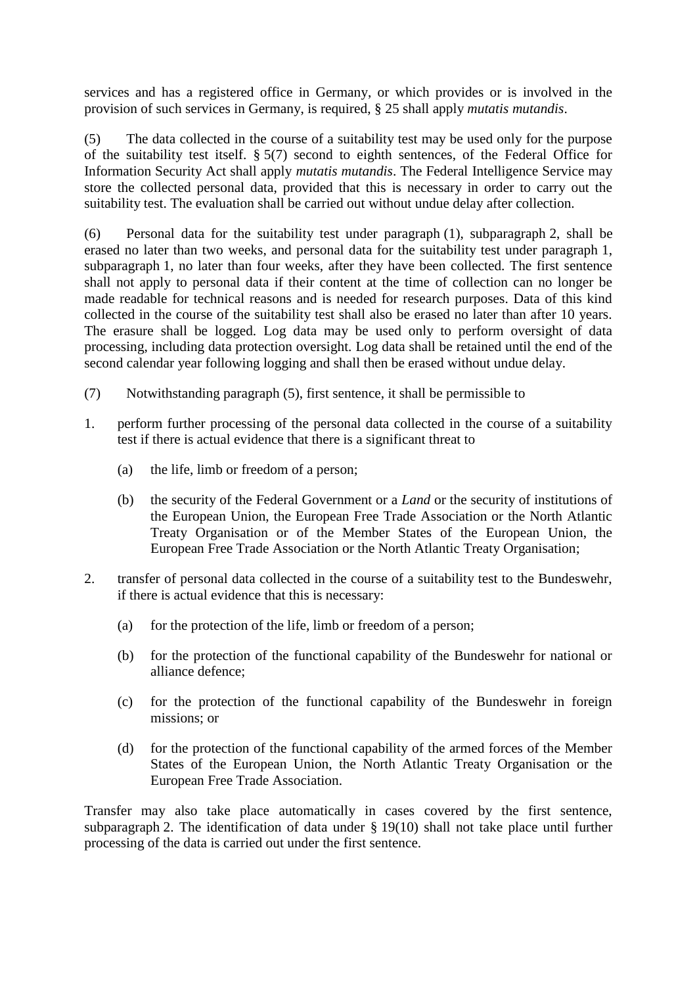services and has a registered office in Germany, or which provides or is involved in the provision of such services in Germany, is required, § 25 shall apply *mutatis mutandis*.

(5) The data collected in the course of a suitability test may be used only for the purpose of the suitability test itself. § 5(7) second to eighth sentences, of the Federal Office for Information Security Act shall apply *mutatis mutandis*. The Federal Intelligence Service may store the collected personal data, provided that this is necessary in order to carry out the suitability test. The evaluation shall be carried out without undue delay after collection.

(6) Personal data for the suitability test under paragraph (1), subparagraph 2, shall be erased no later than two weeks, and personal data for the suitability test under paragraph 1, subparagraph 1, no later than four weeks, after they have been collected. The first sentence shall not apply to personal data if their content at the time of collection can no longer be made readable for technical reasons and is needed for research purposes. Data of this kind collected in the course of the suitability test shall also be erased no later than after 10 years. The erasure shall be logged. Log data may be used only to perform oversight of data processing, including data protection oversight. Log data shall be retained until the end of the second calendar year following logging and shall then be erased without undue delay.

- (7) Notwithstanding paragraph (5), first sentence, it shall be permissible to
- 1. perform further processing of the personal data collected in the course of a suitability test if there is actual evidence that there is a significant threat to
	- (a) the life, limb or freedom of a person;
	- (b) the security of the Federal Government or a *Land* or the security of institutions of the European Union, the European Free Trade Association or the North Atlantic Treaty Organisation or of the Member States of the European Union, the European Free Trade Association or the North Atlantic Treaty Organisation;
- 2. transfer of personal data collected in the course of a suitability test to the Bundeswehr, if there is actual evidence that this is necessary:
	- (a) for the protection of the life, limb or freedom of a person;
	- (b) for the protection of the functional capability of the Bundeswehr for national or alliance defence;
	- (c) for the protection of the functional capability of the Bundeswehr in foreign missions; or
	- (d) for the protection of the functional capability of the armed forces of the Member States of the European Union, the North Atlantic Treaty Organisation or the European Free Trade Association.

Transfer may also take place automatically in cases covered by the first sentence, subparagraph 2. The identification of data under § 19(10) shall not take place until further processing of the data is carried out under the first sentence.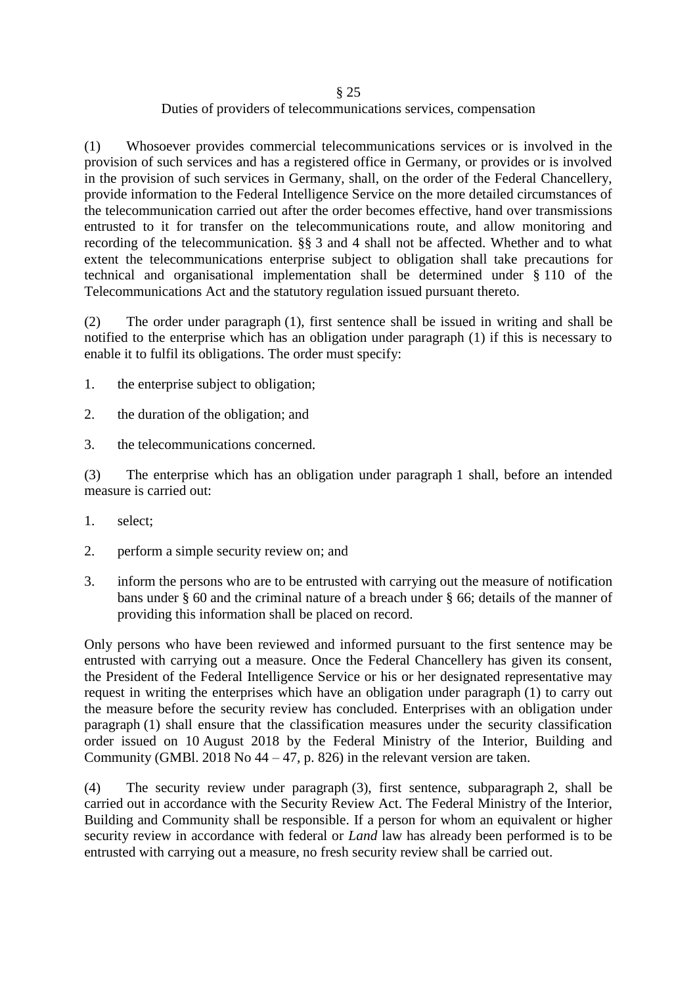#### § 25 Duties of providers of telecommunications services, compensation

(1) Whosoever provides commercial telecommunications services or is involved in the provision of such services and has a registered office in Germany, or provides or is involved in the provision of such services in Germany, shall, on the order of the Federal Chancellery, provide information to the Federal Intelligence Service on the more detailed circumstances of the telecommunication carried out after the order becomes effective, hand over transmissions entrusted to it for transfer on the telecommunications route, and allow monitoring and recording of the telecommunication. §§ 3 and 4 shall not be affected. Whether and to what extent the telecommunications enterprise subject to obligation shall take precautions for technical and organisational implementation shall be determined under § 110 of the Telecommunications Act and the statutory regulation issued pursuant thereto.

(2) The order under paragraph (1), first sentence shall be issued in writing and shall be notified to the enterprise which has an obligation under paragraph (1) if this is necessary to enable it to fulfil its obligations. The order must specify:

- 1. the enterprise subject to obligation;
- 2. the duration of the obligation; and
- 3. the telecommunications concerned.

(3) The enterprise which has an obligation under paragraph 1 shall, before an intended measure is carried out:

- 1. select;
- 2. perform a simple security review on; and
- 3. inform the persons who are to be entrusted with carrying out the measure of notification bans under § 60 and the criminal nature of a breach under § 66; details of the manner of providing this information shall be placed on record.

Only persons who have been reviewed and informed pursuant to the first sentence may be entrusted with carrying out a measure. Once the Federal Chancellery has given its consent, the President of the Federal Intelligence Service or his or her designated representative may request in writing the enterprises which have an obligation under paragraph (1) to carry out the measure before the security review has concluded. Enterprises with an obligation under paragraph (1) shall ensure that the classification measures under the security classification order issued on 10 August 2018 by the Federal Ministry of the Interior, Building and Community (GMBl. 2018 No  $44 - 47$ , p. 826) in the relevant version are taken.

(4) The security review under paragraph (3), first sentence, subparagraph 2, shall be carried out in accordance with the Security Review Act. The Federal Ministry of the Interior, Building and Community shall be responsible. If a person for whom an equivalent or higher security review in accordance with federal or *Land* law has already been performed is to be entrusted with carrying out a measure, no fresh security review shall be carried out.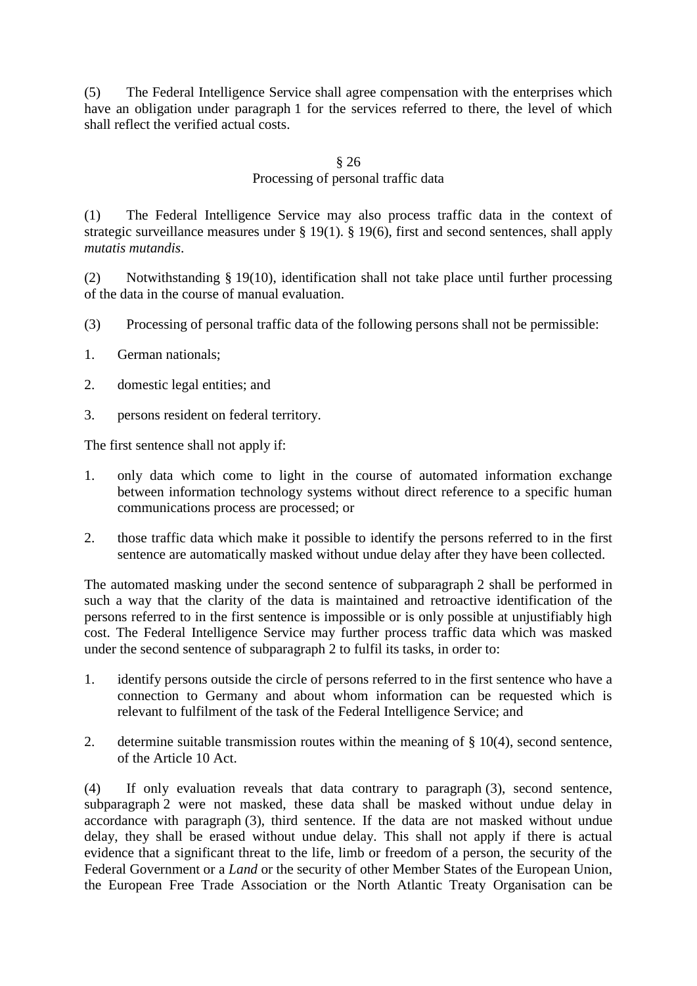(5) The Federal Intelligence Service shall agree compensation with the enterprises which have an obligation under paragraph 1 for the services referred to there, the level of which shall reflect the verified actual costs.

#### § 26

# Processing of personal traffic data

(1) The Federal Intelligence Service may also process traffic data in the context of strategic surveillance measures under § 19(1). § 19(6), first and second sentences, shall apply *mutatis mutandis*.

(2) Notwithstanding § 19(10), identification shall not take place until further processing of the data in the course of manual evaluation.

- (3) Processing of personal traffic data of the following persons shall not be permissible:
- 1. German nationals;
- 2. domestic legal entities; and
- 3. persons resident on federal territory.

The first sentence shall not apply if:

- 1. only data which come to light in the course of automated information exchange between information technology systems without direct reference to a specific human communications process are processed; or
- 2. those traffic data which make it possible to identify the persons referred to in the first sentence are automatically masked without undue delay after they have been collected.

The automated masking under the second sentence of subparagraph 2 shall be performed in such a way that the clarity of the data is maintained and retroactive identification of the persons referred to in the first sentence is impossible or is only possible at unjustifiably high cost. The Federal Intelligence Service may further process traffic data which was masked under the second sentence of subparagraph 2 to fulfil its tasks, in order to:

- 1. identify persons outside the circle of persons referred to in the first sentence who have a connection to Germany and about whom information can be requested which is relevant to fulfilment of the task of the Federal Intelligence Service; and
- 2. determine suitable transmission routes within the meaning of  $\S$  10(4), second sentence, of the Article 10 Act.

(4) If only evaluation reveals that data contrary to paragraph (3), second sentence, subparagraph 2 were not masked, these data shall be masked without undue delay in accordance with paragraph (3), third sentence. If the data are not masked without undue delay, they shall be erased without undue delay. This shall not apply if there is actual evidence that a significant threat to the life, limb or freedom of a person, the security of the Federal Government or a *Land* or the security of other Member States of the European Union, the European Free Trade Association or the North Atlantic Treaty Organisation can be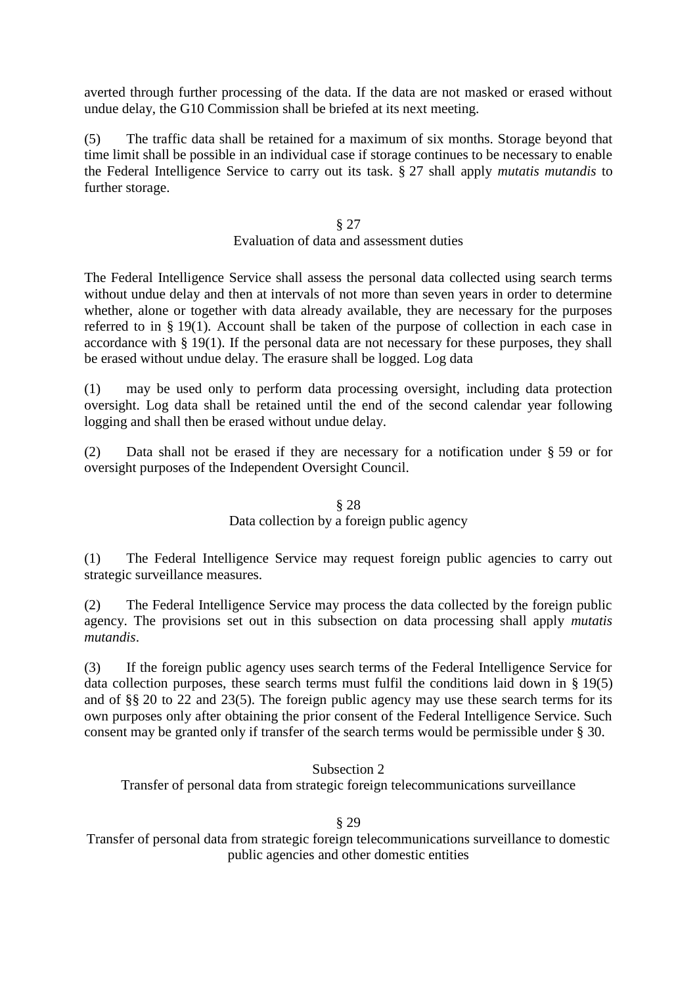averted through further processing of the data. If the data are not masked or erased without undue delay, the G10 Commission shall be briefed at its next meeting.

(5) The traffic data shall be retained for a maximum of six months. Storage beyond that time limit shall be possible in an individual case if storage continues to be necessary to enable the Federal Intelligence Service to carry out its task. § 27 shall apply *mutatis mutandis* to further storage.

# § 27

### Evaluation of data and assessment duties

The Federal Intelligence Service shall assess the personal data collected using search terms without undue delay and then at intervals of not more than seven years in order to determine whether, alone or together with data already available, they are necessary for the purposes referred to in § 19(1). Account shall be taken of the purpose of collection in each case in accordance with § 19(1). If the personal data are not necessary for these purposes, they shall be erased without undue delay. The erasure shall be logged. Log data

(1) may be used only to perform data processing oversight, including data protection oversight. Log data shall be retained until the end of the second calendar year following logging and shall then be erased without undue delay.

(2) Data shall not be erased if they are necessary for a notification under § 59 or for oversight purposes of the Independent Oversight Council.

# § 28 Data collection by a foreign public agency

(1) The Federal Intelligence Service may request foreign public agencies to carry out strategic surveillance measures.

(2) The Federal Intelligence Service may process the data collected by the foreign public agency. The provisions set out in this subsection on data processing shall apply *mutatis mutandis*.

(3) If the foreign public agency uses search terms of the Federal Intelligence Service for data collection purposes, these search terms must fulfil the conditions laid down in § 19(5) and of §§ 20 to 22 and 23(5). The foreign public agency may use these search terms for its own purposes only after obtaining the prior consent of the Federal Intelligence Service. Such consent may be granted only if transfer of the search terms would be permissible under § 30.

### Subsection 2

Transfer of personal data from strategic foreign telecommunications surveillance

#### § 29

Transfer of personal data from strategic foreign telecommunications surveillance to domestic public agencies and other domestic entities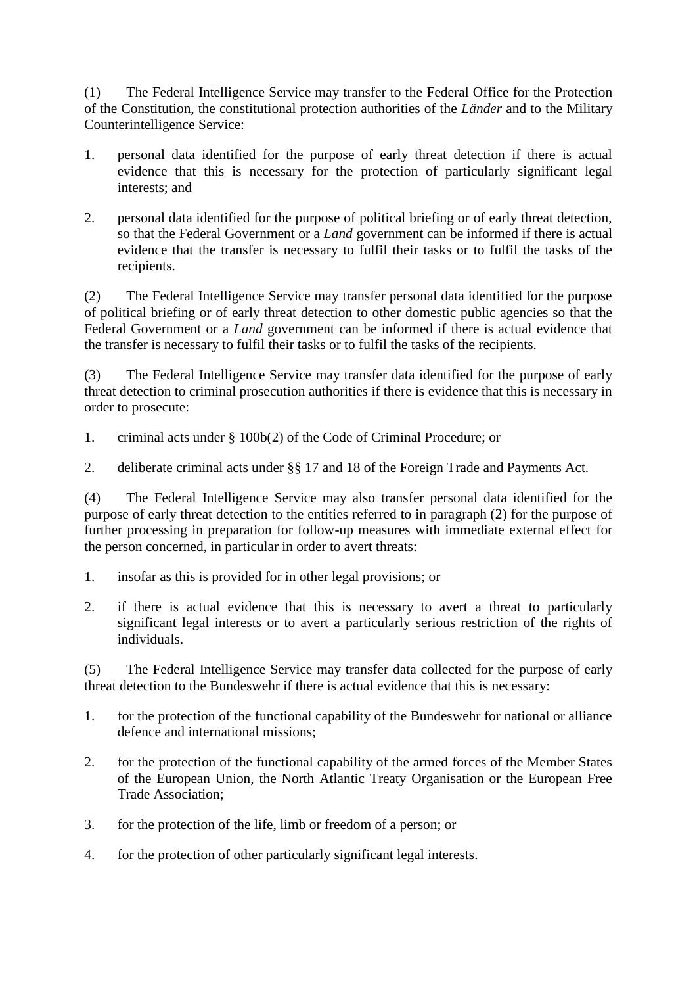(1) The Federal Intelligence Service may transfer to the Federal Office for the Protection of the Constitution, the constitutional protection authorities of the *Länder* and to the Military Counterintelligence Service:

- 1. personal data identified for the purpose of early threat detection if there is actual evidence that this is necessary for the protection of particularly significant legal interests; and
- 2. personal data identified for the purpose of political briefing or of early threat detection, so that the Federal Government or a *Land* government can be informed if there is actual evidence that the transfer is necessary to fulfil their tasks or to fulfil the tasks of the recipients.

(2) The Federal Intelligence Service may transfer personal data identified for the purpose of political briefing or of early threat detection to other domestic public agencies so that the Federal Government or a *Land* government can be informed if there is actual evidence that the transfer is necessary to fulfil their tasks or to fulfil the tasks of the recipients.

(3) The Federal Intelligence Service may transfer data identified for the purpose of early threat detection to criminal prosecution authorities if there is evidence that this is necessary in order to prosecute:

- 1. criminal acts under § 100b(2) of the Code of Criminal Procedure; or
- 2. deliberate criminal acts under §§ 17 and 18 of the Foreign Trade and Payments Act.

(4) The Federal Intelligence Service may also transfer personal data identified for the purpose of early threat detection to the entities referred to in paragraph (2) for the purpose of further processing in preparation for follow-up measures with immediate external effect for the person concerned, in particular in order to avert threats:

- 1. insofar as this is provided for in other legal provisions; or
- 2. if there is actual evidence that this is necessary to avert a threat to particularly significant legal interests or to avert a particularly serious restriction of the rights of individuals.

(5) The Federal Intelligence Service may transfer data collected for the purpose of early threat detection to the Bundeswehr if there is actual evidence that this is necessary:

- 1. for the protection of the functional capability of the Bundeswehr for national or alliance defence and international missions;
- 2. for the protection of the functional capability of the armed forces of the Member States of the European Union, the North Atlantic Treaty Organisation or the European Free Trade Association;
- 3. for the protection of the life, limb or freedom of a person; or
- 4. for the protection of other particularly significant legal interests.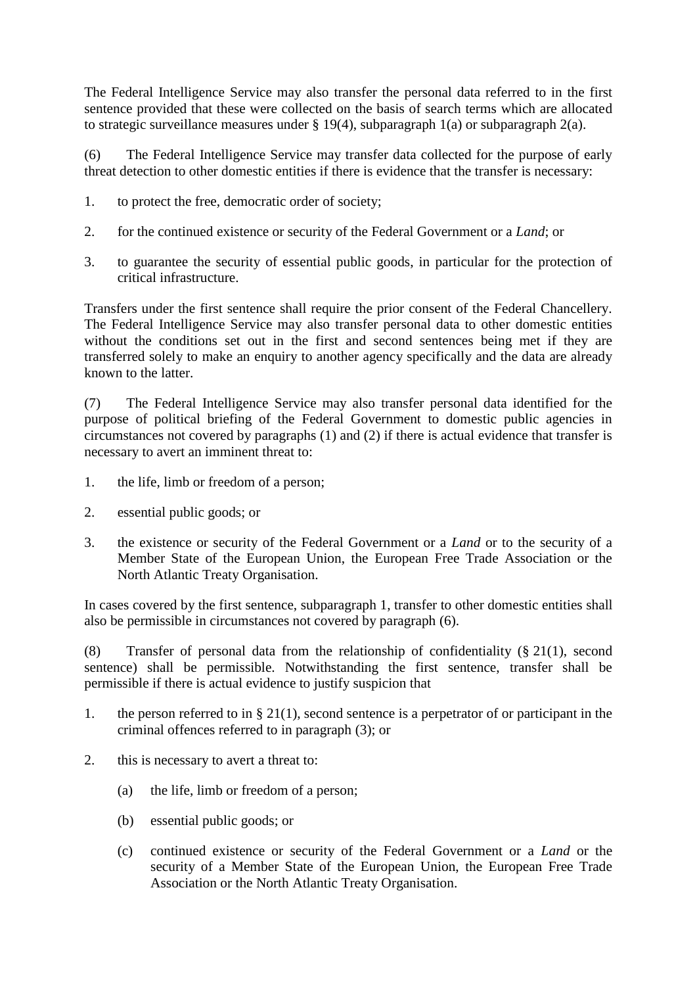The Federal Intelligence Service may also transfer the personal data referred to in the first sentence provided that these were collected on the basis of search terms which are allocated to strategic surveillance measures under § 19(4), subparagraph 1(a) or subparagraph 2(a).

(6) The Federal Intelligence Service may transfer data collected for the purpose of early threat detection to other domestic entities if there is evidence that the transfer is necessary:

- 1. to protect the free, democratic order of society;
- 2. for the continued existence or security of the Federal Government or a *Land*; or
- 3. to guarantee the security of essential public goods, in particular for the protection of critical infrastructure.

Transfers under the first sentence shall require the prior consent of the Federal Chancellery. The Federal Intelligence Service may also transfer personal data to other domestic entities without the conditions set out in the first and second sentences being met if they are transferred solely to make an enquiry to another agency specifically and the data are already known to the latter.

(7) The Federal Intelligence Service may also transfer personal data identified for the purpose of political briefing of the Federal Government to domestic public agencies in circumstances not covered by paragraphs (1) and (2) if there is actual evidence that transfer is necessary to avert an imminent threat to:

- 1. the life, limb or freedom of a person;
- 2. essential public goods; or
- 3. the existence or security of the Federal Government or a *Land* or to the security of a Member State of the European Union, the European Free Trade Association or the North Atlantic Treaty Organisation.

In cases covered by the first sentence, subparagraph 1, transfer to other domestic entities shall also be permissible in circumstances not covered by paragraph (6).

(8) Transfer of personal data from the relationship of confidentiality (§ 21(1), second sentence) shall be permissible. Notwithstanding the first sentence, transfer shall be permissible if there is actual evidence to justify suspicion that

- 1. the person referred to in § 21(1), second sentence is a perpetrator of or participant in the criminal offences referred to in paragraph (3); or
- 2. this is necessary to avert a threat to:
	- (a) the life, limb or freedom of a person;
	- (b) essential public goods; or
	- (c) continued existence or security of the Federal Government or a *Land* or the security of a Member State of the European Union, the European Free Trade Association or the North Atlantic Treaty Organisation.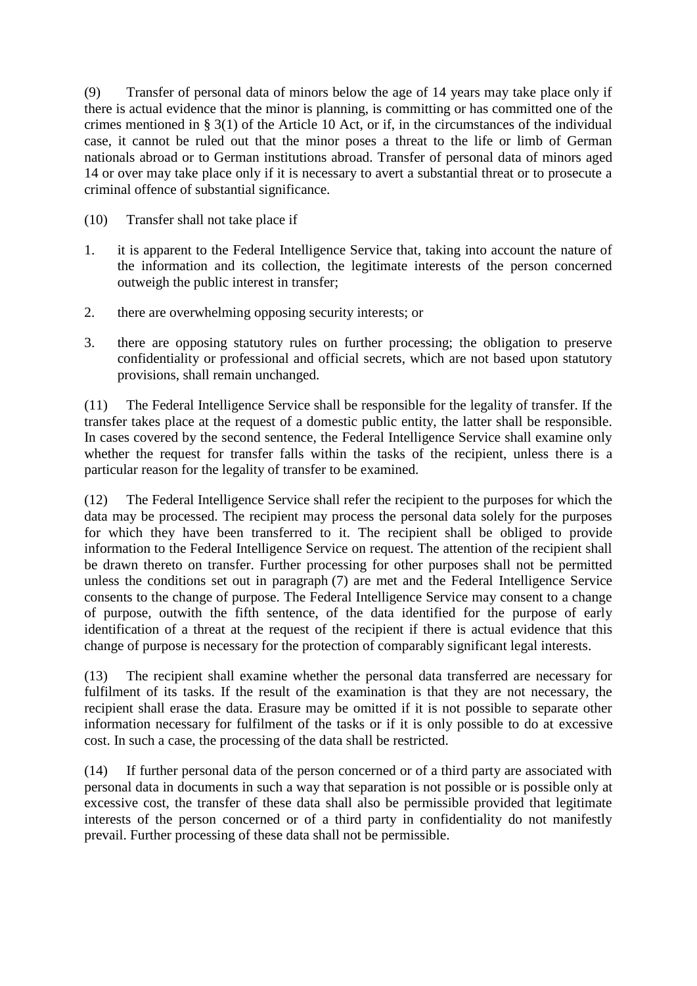(9) Transfer of personal data of minors below the age of 14 years may take place only if there is actual evidence that the minor is planning, is committing or has committed one of the crimes mentioned in § 3(1) of the Article 10 Act, or if, in the circumstances of the individual case, it cannot be ruled out that the minor poses a threat to the life or limb of German nationals abroad or to German institutions abroad. Transfer of personal data of minors aged 14 or over may take place only if it is necessary to avert a substantial threat or to prosecute a criminal offence of substantial significance.

- (10) Transfer shall not take place if
- 1. it is apparent to the Federal Intelligence Service that, taking into account the nature of the information and its collection, the legitimate interests of the person concerned outweigh the public interest in transfer;
- 2. there are overwhelming opposing security interests; or
- 3. there are opposing statutory rules on further processing; the obligation to preserve confidentiality or professional and official secrets, which are not based upon statutory provisions, shall remain unchanged.

(11) The Federal Intelligence Service shall be responsible for the legality of transfer. If the transfer takes place at the request of a domestic public entity, the latter shall be responsible. In cases covered by the second sentence, the Federal Intelligence Service shall examine only whether the request for transfer falls within the tasks of the recipient, unless there is a particular reason for the legality of transfer to be examined.

(12) The Federal Intelligence Service shall refer the recipient to the purposes for which the data may be processed. The recipient may process the personal data solely for the purposes for which they have been transferred to it. The recipient shall be obliged to provide information to the Federal Intelligence Service on request. The attention of the recipient shall be drawn thereto on transfer. Further processing for other purposes shall not be permitted unless the conditions set out in paragraph (7) are met and the Federal Intelligence Service consents to the change of purpose. The Federal Intelligence Service may consent to a change of purpose, outwith the fifth sentence, of the data identified for the purpose of early identification of a threat at the request of the recipient if there is actual evidence that this change of purpose is necessary for the protection of comparably significant legal interests.

(13) The recipient shall examine whether the personal data transferred are necessary for fulfilment of its tasks. If the result of the examination is that they are not necessary, the recipient shall erase the data. Erasure may be omitted if it is not possible to separate other information necessary for fulfilment of the tasks or if it is only possible to do at excessive cost. In such a case, the processing of the data shall be restricted.

(14) If further personal data of the person concerned or of a third party are associated with personal data in documents in such a way that separation is not possible or is possible only at excessive cost, the transfer of these data shall also be permissible provided that legitimate interests of the person concerned or of a third party in confidentiality do not manifestly prevail. Further processing of these data shall not be permissible.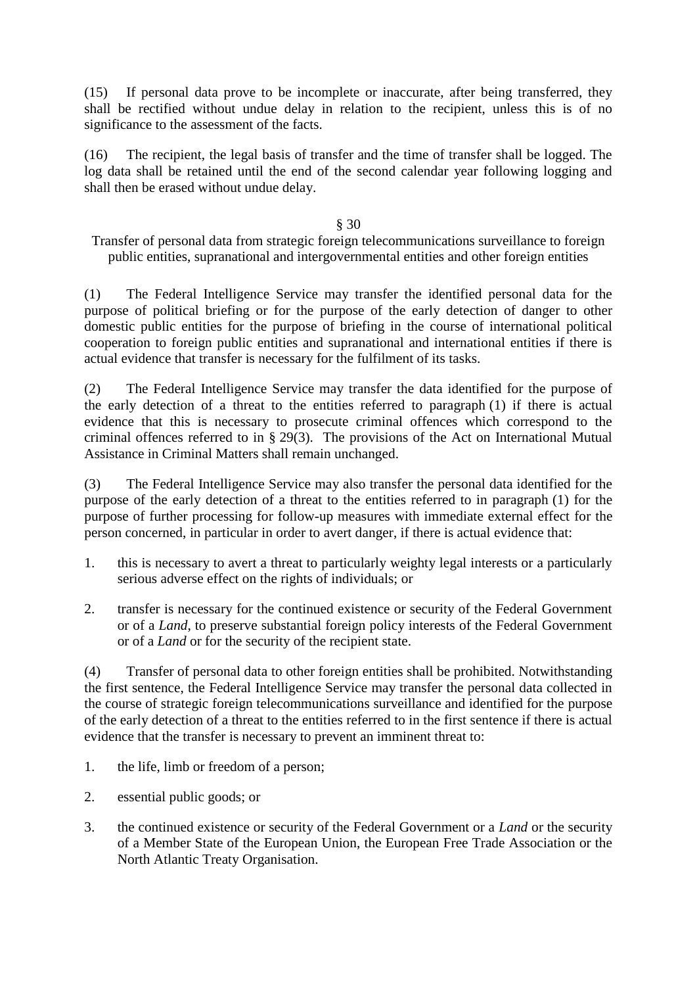(15) If personal data prove to be incomplete or inaccurate, after being transferred, they shall be rectified without undue delay in relation to the recipient, unless this is of no significance to the assessment of the facts.

(16) The recipient, the legal basis of transfer and the time of transfer shall be logged. The log data shall be retained until the end of the second calendar year following logging and shall then be erased without undue delay.

### § 30

Transfer of personal data from strategic foreign telecommunications surveillance to foreign public entities, supranational and intergovernmental entities and other foreign entities

(1) The Federal Intelligence Service may transfer the identified personal data for the purpose of political briefing or for the purpose of the early detection of danger to other domestic public entities for the purpose of briefing in the course of international political cooperation to foreign public entities and supranational and international entities if there is actual evidence that transfer is necessary for the fulfilment of its tasks.

(2) The Federal Intelligence Service may transfer the data identified for the purpose of the early detection of a threat to the entities referred to paragraph (1) if there is actual evidence that this is necessary to prosecute criminal offences which correspond to the criminal offences referred to in § 29(3). The provisions of the Act on International Mutual Assistance in Criminal Matters shall remain unchanged.

(3) The Federal Intelligence Service may also transfer the personal data identified for the purpose of the early detection of a threat to the entities referred to in paragraph (1) for the purpose of further processing for follow-up measures with immediate external effect for the person concerned, in particular in order to avert danger, if there is actual evidence that:

- 1. this is necessary to avert a threat to particularly weighty legal interests or a particularly serious adverse effect on the rights of individuals; or
- 2. transfer is necessary for the continued existence or security of the Federal Government or of a *Land*, to preserve substantial foreign policy interests of the Federal Government or of a *Land* or for the security of the recipient state.

(4) Transfer of personal data to other foreign entities shall be prohibited. Notwithstanding the first sentence, the Federal Intelligence Service may transfer the personal data collected in the course of strategic foreign telecommunications surveillance and identified for the purpose of the early detection of a threat to the entities referred to in the first sentence if there is actual evidence that the transfer is necessary to prevent an imminent threat to:

- 1. the life, limb or freedom of a person;
- 2. essential public goods; or
- 3. the continued existence or security of the Federal Government or a *Land* or the security of a Member State of the European Union, the European Free Trade Association or the North Atlantic Treaty Organisation.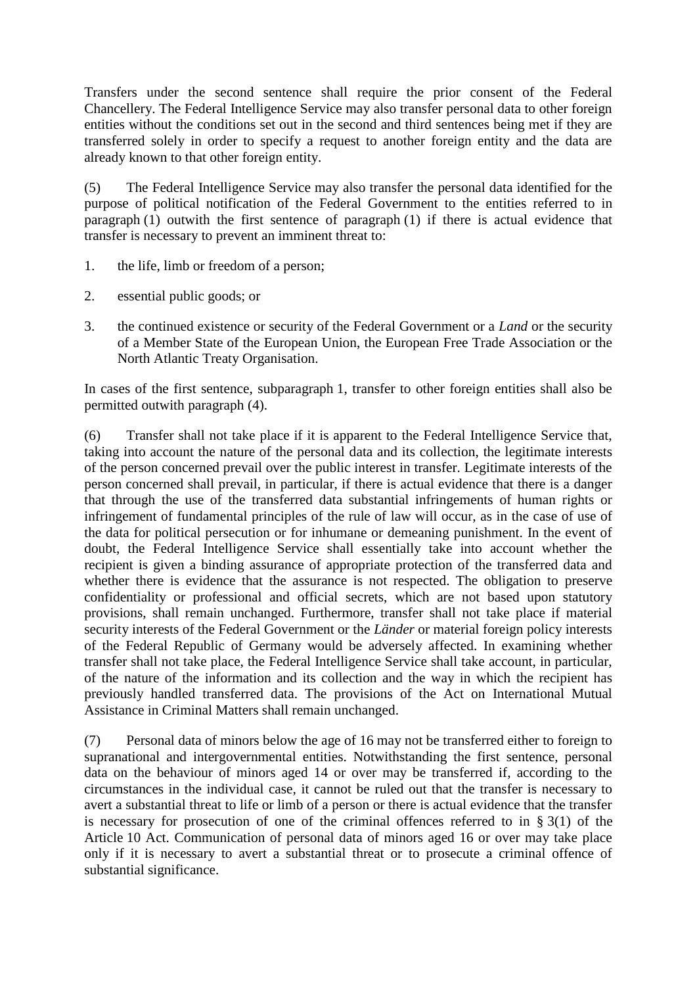Transfers under the second sentence shall require the prior consent of the Federal Chancellery. The Federal Intelligence Service may also transfer personal data to other foreign entities without the conditions set out in the second and third sentences being met if they are transferred solely in order to specify a request to another foreign entity and the data are already known to that other foreign entity.

(5) The Federal Intelligence Service may also transfer the personal data identified for the purpose of political notification of the Federal Government to the entities referred to in paragraph (1) outwith the first sentence of paragraph (1) if there is actual evidence that transfer is necessary to prevent an imminent threat to:

- 1. the life, limb or freedom of a person;
- 2. essential public goods; or
- 3. the continued existence or security of the Federal Government or a *Land* or the security of a Member State of the European Union, the European Free Trade Association or the North Atlantic Treaty Organisation.

In cases of the first sentence, subparagraph 1, transfer to other foreign entities shall also be permitted outwith paragraph (4).

(6) Transfer shall not take place if it is apparent to the Federal Intelligence Service that, taking into account the nature of the personal data and its collection, the legitimate interests of the person concerned prevail over the public interest in transfer. Legitimate interests of the person concerned shall prevail, in particular, if there is actual evidence that there is a danger that through the use of the transferred data substantial infringements of human rights or infringement of fundamental principles of the rule of law will occur, as in the case of use of the data for political persecution or for inhumane or demeaning punishment. In the event of doubt, the Federal Intelligence Service shall essentially take into account whether the recipient is given a binding assurance of appropriate protection of the transferred data and whether there is evidence that the assurance is not respected. The obligation to preserve confidentiality or professional and official secrets, which are not based upon statutory provisions, shall remain unchanged. Furthermore, transfer shall not take place if material security interests of the Federal Government or the *Länder* or material foreign policy interests of the Federal Republic of Germany would be adversely affected. In examining whether transfer shall not take place, the Federal Intelligence Service shall take account, in particular, of the nature of the information and its collection and the way in which the recipient has previously handled transferred data. The provisions of the Act on International Mutual Assistance in Criminal Matters shall remain unchanged.

(7) Personal data of minors below the age of 16 may not be transferred either to foreign to supranational and intergovernmental entities. Notwithstanding the first sentence, personal data on the behaviour of minors aged 14 or over may be transferred if, according to the circumstances in the individual case, it cannot be ruled out that the transfer is necessary to avert a substantial threat to life or limb of a person or there is actual evidence that the transfer is necessary for prosecution of one of the criminal offences referred to in  $\S 3(1)$  of the Article 10 Act. Communication of personal data of minors aged 16 or over may take place only if it is necessary to avert a substantial threat or to prosecute a criminal offence of substantial significance.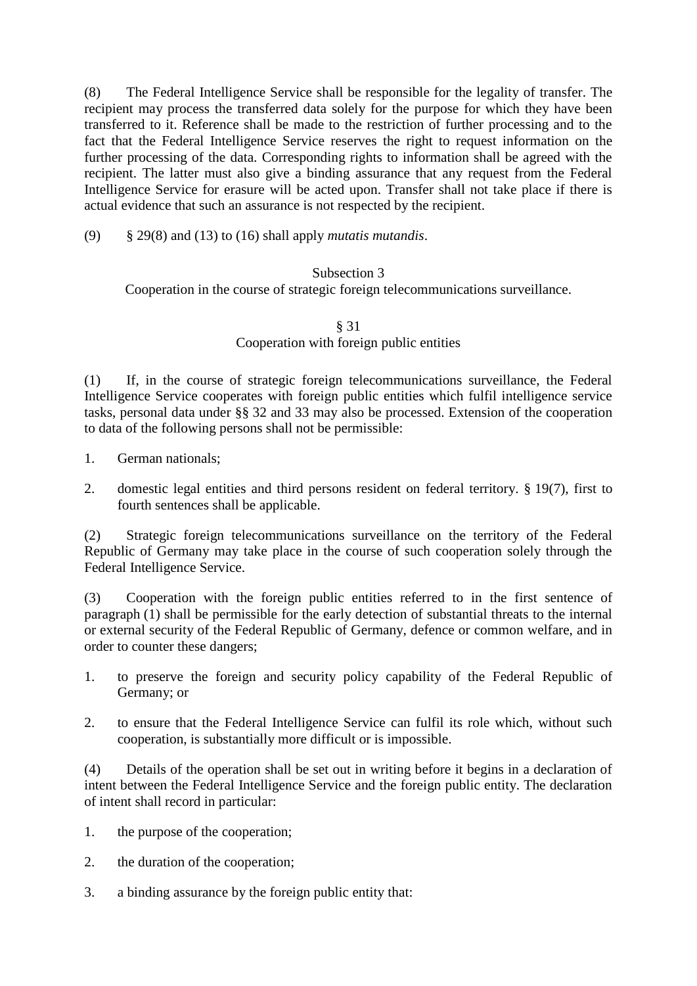(8) The Federal Intelligence Service shall be responsible for the legality of transfer. The recipient may process the transferred data solely for the purpose for which they have been transferred to it. Reference shall be made to the restriction of further processing and to the fact that the Federal Intelligence Service reserves the right to request information on the further processing of the data. Corresponding rights to information shall be agreed with the recipient. The latter must also give a binding assurance that any request from the Federal Intelligence Service for erasure will be acted upon. Transfer shall not take place if there is actual evidence that such an assurance is not respected by the recipient.

(9) § 29(8) and (13) to (16) shall apply *mutatis mutandis*.

### Subsection 3

Cooperation in the course of strategic foreign telecommunications surveillance.

#### § 31 Cooperation with foreign public entities

(1) If, in the course of strategic foreign telecommunications surveillance, the Federal Intelligence Service cooperates with foreign public entities which fulfil intelligence service tasks, personal data under §§ 32 and 33 may also be processed. Extension of the cooperation to data of the following persons shall not be permissible:

- 1. German nationals;
- 2. domestic legal entities and third persons resident on federal territory. § 19(7), first to fourth sentences shall be applicable.

(2) Strategic foreign telecommunications surveillance on the territory of the Federal Republic of Germany may take place in the course of such cooperation solely through the Federal Intelligence Service.

(3) Cooperation with the foreign public entities referred to in the first sentence of paragraph (1) shall be permissible for the early detection of substantial threats to the internal or external security of the Federal Republic of Germany, defence or common welfare, and in order to counter these dangers;

- 1. to preserve the foreign and security policy capability of the Federal Republic of Germany; or
- 2. to ensure that the Federal Intelligence Service can fulfil its role which, without such cooperation, is substantially more difficult or is impossible.

(4) Details of the operation shall be set out in writing before it begins in a declaration of intent between the Federal Intelligence Service and the foreign public entity. The declaration of intent shall record in particular:

- 1. the purpose of the cooperation;
- 2. the duration of the cooperation;
- 3. a binding assurance by the foreign public entity that: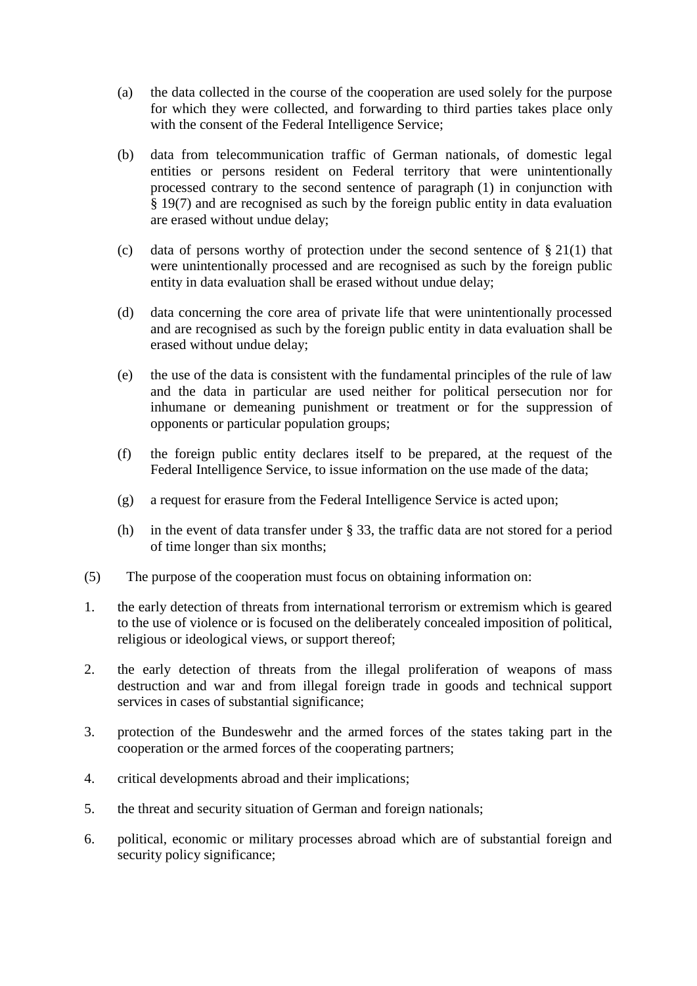- (a) the data collected in the course of the cooperation are used solely for the purpose for which they were collected, and forwarding to third parties takes place only with the consent of the Federal Intelligence Service:
- (b) data from telecommunication traffic of German nationals, of domestic legal entities or persons resident on Federal territory that were unintentionally processed contrary to the second sentence of paragraph (1) in conjunction with § 19(7) and are recognised as such by the foreign public entity in data evaluation are erased without undue delay;
- (c) data of persons worthy of protection under the second sentence of  $\S 21(1)$  that were unintentionally processed and are recognised as such by the foreign public entity in data evaluation shall be erased without undue delay;
- (d) data concerning the core area of private life that were unintentionally processed and are recognised as such by the foreign public entity in data evaluation shall be erased without undue delay;
- (e) the use of the data is consistent with the fundamental principles of the rule of law and the data in particular are used neither for political persecution nor for inhumane or demeaning punishment or treatment or for the suppression of opponents or particular population groups;
- (f) the foreign public entity declares itself to be prepared, at the request of the Federal Intelligence Service, to issue information on the use made of the data;
- (g) a request for erasure from the Federal Intelligence Service is acted upon;
- (h) in the event of data transfer under § 33, the traffic data are not stored for a period of time longer than six months;
- (5) The purpose of the cooperation must focus on obtaining information on:
- 1. the early detection of threats from international terrorism or extremism which is geared to the use of violence or is focused on the deliberately concealed imposition of political, religious or ideological views, or support thereof;
- 2. the early detection of threats from the illegal proliferation of weapons of mass destruction and war and from illegal foreign trade in goods and technical support services in cases of substantial significance;
- 3. protection of the Bundeswehr and the armed forces of the states taking part in the cooperation or the armed forces of the cooperating partners;
- 4. critical developments abroad and their implications;
- 5. the threat and security situation of German and foreign nationals;
- 6. political, economic or military processes abroad which are of substantial foreign and security policy significance;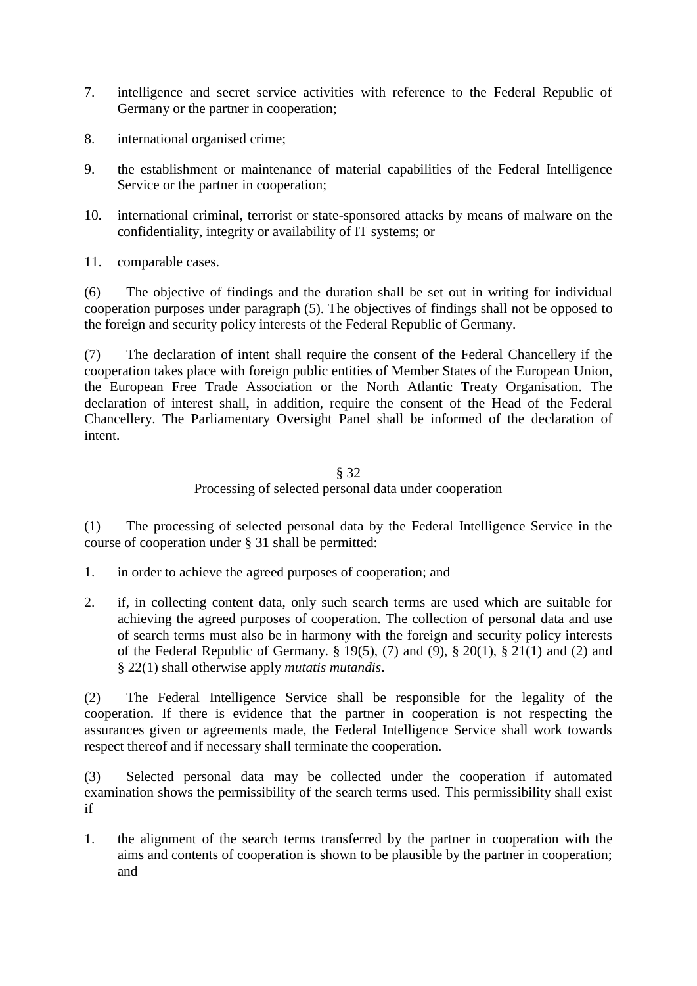- 7. intelligence and secret service activities with reference to the Federal Republic of Germany or the partner in cooperation;
- 8. international organised crime;
- 9. the establishment or maintenance of material capabilities of the Federal Intelligence Service or the partner in cooperation;
- 10. international criminal, terrorist or state-sponsored attacks by means of malware on the confidentiality, integrity or availability of IT systems; or
- 11. comparable cases.

(6) The objective of findings and the duration shall be set out in writing for individual cooperation purposes under paragraph (5). The objectives of findings shall not be opposed to the foreign and security policy interests of the Federal Republic of Germany.

(7) The declaration of intent shall require the consent of the Federal Chancellery if the cooperation takes place with foreign public entities of Member States of the European Union, the European Free Trade Association or the North Atlantic Treaty Organisation. The declaration of interest shall, in addition, require the consent of the Head of the Federal Chancellery. The Parliamentary Oversight Panel shall be informed of the declaration of intent.

#### § 32 Processing of selected personal data under cooperation

(1) The processing of selected personal data by the Federal Intelligence Service in the course of cooperation under § 31 shall be permitted:

- 1. in order to achieve the agreed purposes of cooperation; and
- 2. if, in collecting content data, only such search terms are used which are suitable for achieving the agreed purposes of cooperation. The collection of personal data and use of search terms must also be in harmony with the foreign and security policy interests of the Federal Republic of Germany.  $\S 19(5)$ , (7) and (9),  $\S 20(1)$ ,  $\S 21(1)$  and (2) and § 22(1) shall otherwise apply *mutatis mutandis*.

(2) The Federal Intelligence Service shall be responsible for the legality of the cooperation. If there is evidence that the partner in cooperation is not respecting the assurances given or agreements made, the Federal Intelligence Service shall work towards respect thereof and if necessary shall terminate the cooperation.

(3) Selected personal data may be collected under the cooperation if automated examination shows the permissibility of the search terms used. This permissibility shall exist if

1. the alignment of the search terms transferred by the partner in cooperation with the aims and contents of cooperation is shown to be plausible by the partner in cooperation; and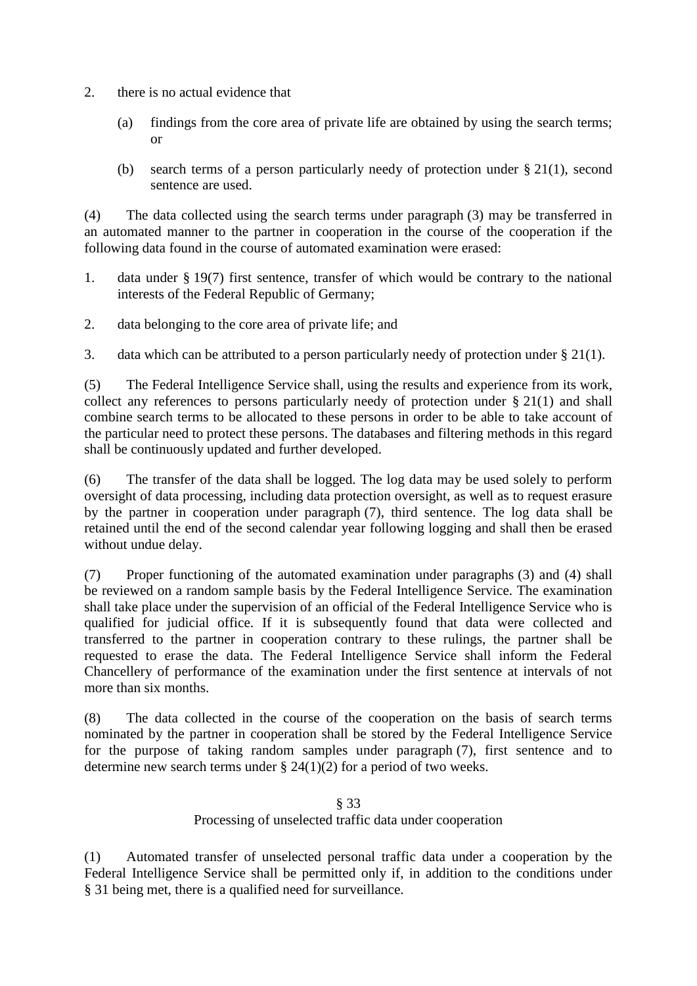- 2. there is no actual evidence that
	- (a) findings from the core area of private life are obtained by using the search terms; or
	- (b) search terms of a person particularly needy of protection under § 21(1), second sentence are used.

(4) The data collected using the search terms under paragraph (3) may be transferred in an automated manner to the partner in cooperation in the course of the cooperation if the following data found in the course of automated examination were erased:

- 1. data under § 19(7) first sentence, transfer of which would be contrary to the national interests of the Federal Republic of Germany;
- 2. data belonging to the core area of private life; and
- 3. data which can be attributed to a person particularly needy of protection under § 21(1).

(5) The Federal Intelligence Service shall, using the results and experience from its work, collect any references to persons particularly needy of protection under § 21(1) and shall combine search terms to be allocated to these persons in order to be able to take account of the particular need to protect these persons. The databases and filtering methods in this regard shall be continuously updated and further developed.

(6) The transfer of the data shall be logged. The log data may be used solely to perform oversight of data processing, including data protection oversight, as well as to request erasure by the partner in cooperation under paragraph (7), third sentence. The log data shall be retained until the end of the second calendar year following logging and shall then be erased without undue delay.

(7) Proper functioning of the automated examination under paragraphs (3) and (4) shall be reviewed on a random sample basis by the Federal Intelligence Service. The examination shall take place under the supervision of an official of the Federal Intelligence Service who is qualified for judicial office. If it is subsequently found that data were collected and transferred to the partner in cooperation contrary to these rulings, the partner shall be requested to erase the data. The Federal Intelligence Service shall inform the Federal Chancellery of performance of the examination under the first sentence at intervals of not more than six months.

(8) The data collected in the course of the cooperation on the basis of search terms nominated by the partner in cooperation shall be stored by the Federal Intelligence Service for the purpose of taking random samples under paragraph (7), first sentence and to determine new search terms under  $\S 24(1)(2)$  for a period of two weeks.

# § 33 Processing of unselected traffic data under cooperation

(1) Automated transfer of unselected personal traffic data under a cooperation by the Federal Intelligence Service shall be permitted only if, in addition to the conditions under § 31 being met, there is a qualified need for surveillance.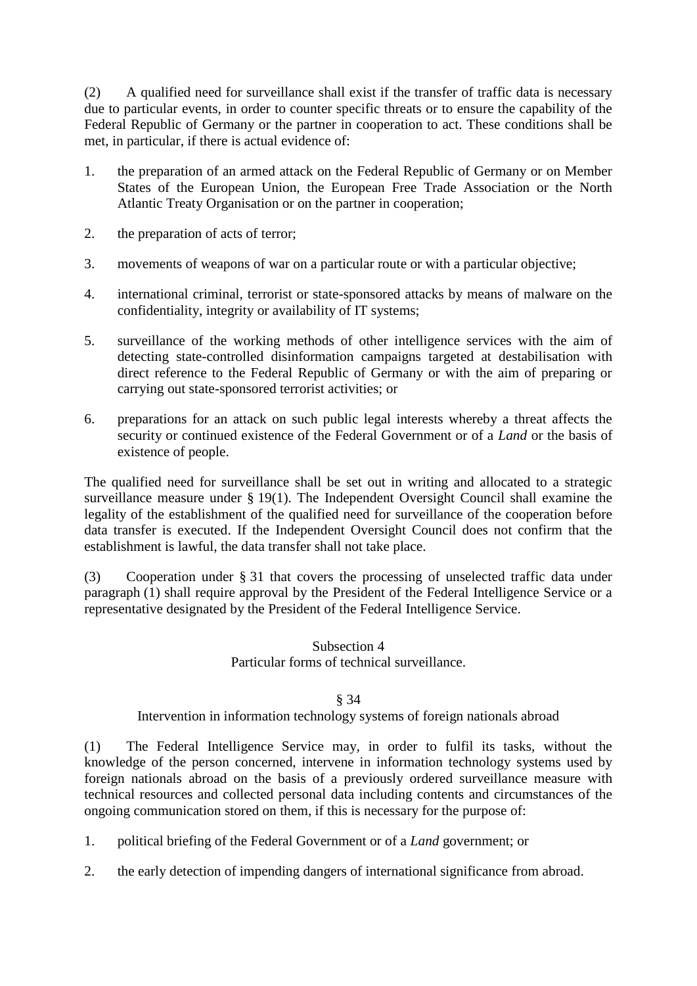(2) A qualified need for surveillance shall exist if the transfer of traffic data is necessary due to particular events, in order to counter specific threats or to ensure the capability of the Federal Republic of Germany or the partner in cooperation to act. These conditions shall be met, in particular, if there is actual evidence of:

- 1. the preparation of an armed attack on the Federal Republic of Germany or on Member States of the European Union, the European Free Trade Association or the North Atlantic Treaty Organisation or on the partner in cooperation;
- 2. the preparation of acts of terror;
- 3. movements of weapons of war on a particular route or with a particular objective;
- 4. international criminal, terrorist or state-sponsored attacks by means of malware on the confidentiality, integrity or availability of IT systems;
- 5. surveillance of the working methods of other intelligence services with the aim of detecting state-controlled disinformation campaigns targeted at destabilisation with direct reference to the Federal Republic of Germany or with the aim of preparing or carrying out state-sponsored terrorist activities; or
- 6. preparations for an attack on such public legal interests whereby a threat affects the security or continued existence of the Federal Government or of a *Land* or the basis of existence of people.

The qualified need for surveillance shall be set out in writing and allocated to a strategic surveillance measure under § 19(1). The Independent Oversight Council shall examine the legality of the establishment of the qualified need for surveillance of the cooperation before data transfer is executed. If the Independent Oversight Council does not confirm that the establishment is lawful, the data transfer shall not take place.

(3) Cooperation under § 31 that covers the processing of unselected traffic data under paragraph (1) shall require approval by the President of the Federal Intelligence Service or a representative designated by the President of the Federal Intelligence Service.

# Subsection 4 Particular forms of technical surveillance.

### § 34

# Intervention in information technology systems of foreign nationals abroad

(1) The Federal Intelligence Service may, in order to fulfil its tasks, without the knowledge of the person concerned, intervene in information technology systems used by foreign nationals abroad on the basis of a previously ordered surveillance measure with technical resources and collected personal data including contents and circumstances of the ongoing communication stored on them, if this is necessary for the purpose of:

1. political briefing of the Federal Government or of a *Land* government; or

2. the early detection of impending dangers of international significance from abroad.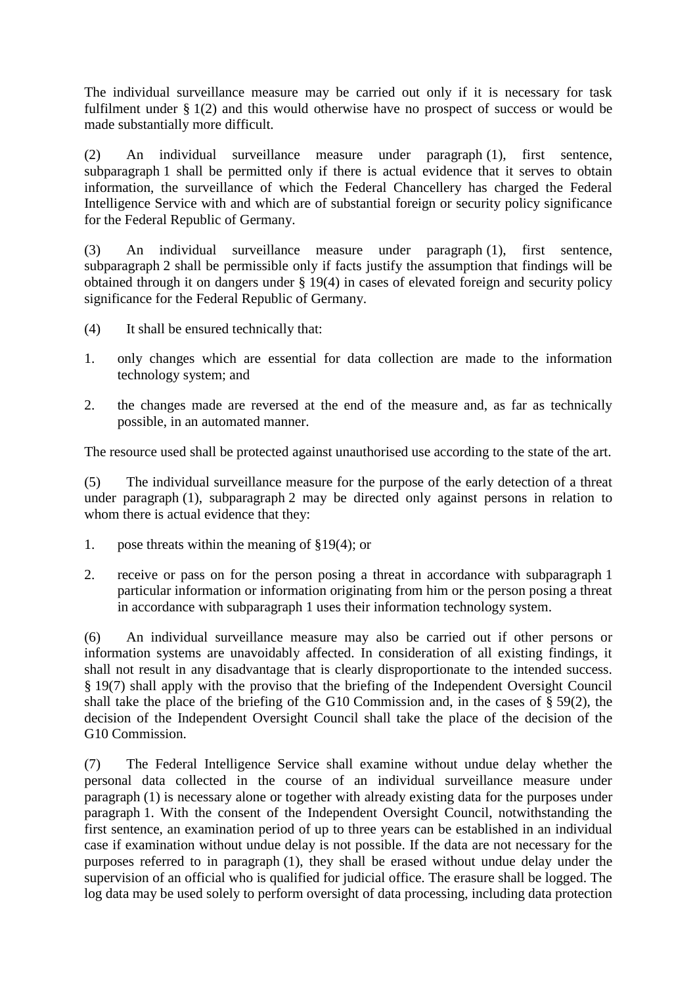The individual surveillance measure may be carried out only if it is necessary for task fulfilment under § 1(2) and this would otherwise have no prospect of success or would be made substantially more difficult.

(2) An individual surveillance measure under paragraph (1), first sentence, subparagraph 1 shall be permitted only if there is actual evidence that it serves to obtain information, the surveillance of which the Federal Chancellery has charged the Federal Intelligence Service with and which are of substantial foreign or security policy significance for the Federal Republic of Germany.

(3) An individual surveillance measure under paragraph (1), first sentence, subparagraph 2 shall be permissible only if facts justify the assumption that findings will be obtained through it on dangers under § 19(4) in cases of elevated foreign and security policy significance for the Federal Republic of Germany.

- (4) It shall be ensured technically that:
- 1. only changes which are essential for data collection are made to the information technology system; and
- 2. the changes made are reversed at the end of the measure and, as far as technically possible, in an automated manner.

The resource used shall be protected against unauthorised use according to the state of the art.

(5) The individual surveillance measure for the purpose of the early detection of a threat under paragraph (1), subparagraph 2 may be directed only against persons in relation to whom there is actual evidence that they:

- 1. pose threats within the meaning of §19(4); or
- 2. receive or pass on for the person posing a threat in accordance with subparagraph 1 particular information or information originating from him or the person posing a threat in accordance with subparagraph 1 uses their information technology system.

(6) An individual surveillance measure may also be carried out if other persons or information systems are unavoidably affected. In consideration of all existing findings, it shall not result in any disadvantage that is clearly disproportionate to the intended success. § 19(7) shall apply with the proviso that the briefing of the Independent Oversight Council shall take the place of the briefing of the G10 Commission and, in the cases of § 59(2), the decision of the Independent Oversight Council shall take the place of the decision of the G10 Commission.

(7) The Federal Intelligence Service shall examine without undue delay whether the personal data collected in the course of an individual surveillance measure under paragraph (1) is necessary alone or together with already existing data for the purposes under paragraph 1. With the consent of the Independent Oversight Council, notwithstanding the first sentence, an examination period of up to three years can be established in an individual case if examination without undue delay is not possible. If the data are not necessary for the purposes referred to in paragraph (1), they shall be erased without undue delay under the supervision of an official who is qualified for judicial office. The erasure shall be logged. The log data may be used solely to perform oversight of data processing, including data protection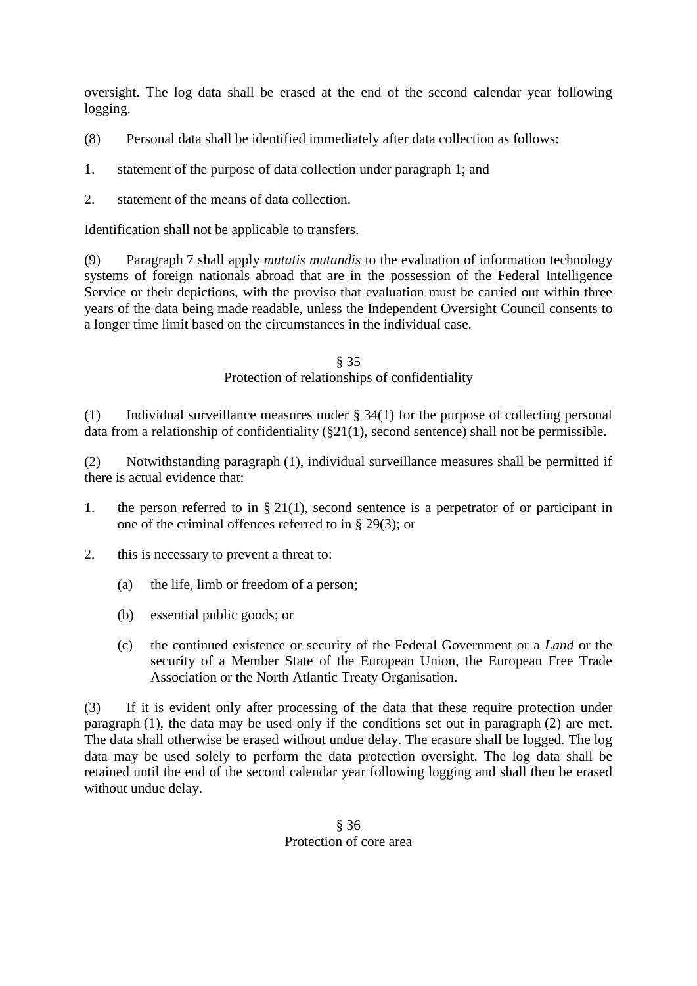oversight. The log data shall be erased at the end of the second calendar year following logging.

(8) Personal data shall be identified immediately after data collection as follows:

- 1. statement of the purpose of data collection under paragraph 1; and
- 2. statement of the means of data collection.

Identification shall not be applicable to transfers.

(9) Paragraph 7 shall apply *mutatis mutandis* to the evaluation of information technology systems of foreign nationals abroad that are in the possession of the Federal Intelligence Service or their depictions, with the proviso that evaluation must be carried out within three years of the data being made readable, unless the Independent Oversight Council consents to a longer time limit based on the circumstances in the individual case.

> § 35 Protection of relationships of confidentiality

(1) Individual surveillance measures under § 34(1) for the purpose of collecting personal data from a relationship of confidentiality (§21(1), second sentence) shall not be permissible.

(2) Notwithstanding paragraph (1), individual surveillance measures shall be permitted if there is actual evidence that:

- 1. the person referred to in § 21(1), second sentence is a perpetrator of or participant in one of the criminal offences referred to in § 29(3); or
- 2. this is necessary to prevent a threat to:
	- (a) the life, limb or freedom of a person;
	- (b) essential public goods; or
	- (c) the continued existence or security of the Federal Government or a *Land* or the security of a Member State of the European Union, the European Free Trade Association or the North Atlantic Treaty Organisation.

(3) If it is evident only after processing of the data that these require protection under paragraph (1), the data may be used only if the conditions set out in paragraph (2) are met. The data shall otherwise be erased without undue delay. The erasure shall be logged. The log data may be used solely to perform the data protection oversight. The log data shall be retained until the end of the second calendar year following logging and shall then be erased without undue delay.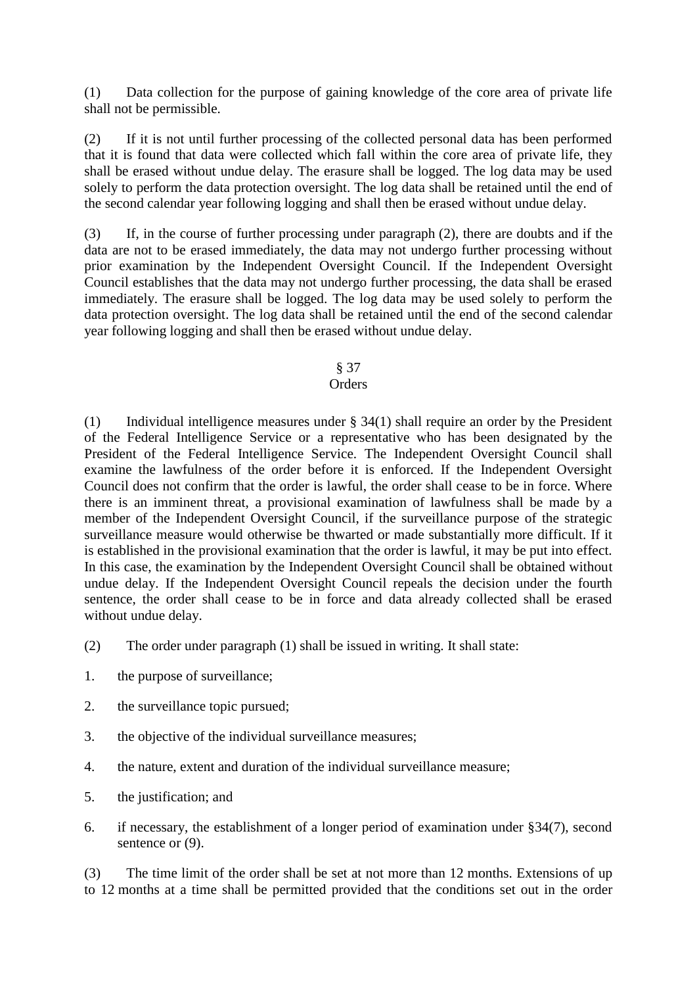(1) Data collection for the purpose of gaining knowledge of the core area of private life shall not be permissible.

(2) If it is not until further processing of the collected personal data has been performed that it is found that data were collected which fall within the core area of private life, they shall be erased without undue delay. The erasure shall be logged. The log data may be used solely to perform the data protection oversight. The log data shall be retained until the end of the second calendar year following logging and shall then be erased without undue delay.

(3) If, in the course of further processing under paragraph (2), there are doubts and if the data are not to be erased immediately, the data may not undergo further processing without prior examination by the Independent Oversight Council. If the Independent Oversight Council establishes that the data may not undergo further processing, the data shall be erased immediately. The erasure shall be logged. The log data may be used solely to perform the data protection oversight. The log data shall be retained until the end of the second calendar year following logging and shall then be erased without undue delay.

#### § 37

# **Orders**

(1) Individual intelligence measures under § 34(1) shall require an order by the President of the Federal Intelligence Service or a representative who has been designated by the President of the Federal Intelligence Service. The Independent Oversight Council shall examine the lawfulness of the order before it is enforced. If the Independent Oversight Council does not confirm that the order is lawful, the order shall cease to be in force. Where there is an imminent threat, a provisional examination of lawfulness shall be made by a member of the Independent Oversight Council, if the surveillance purpose of the strategic surveillance measure would otherwise be thwarted or made substantially more difficult. If it is established in the provisional examination that the order is lawful, it may be put into effect. In this case, the examination by the Independent Oversight Council shall be obtained without undue delay. If the Independent Oversight Council repeals the decision under the fourth sentence, the order shall cease to be in force and data already collected shall be erased without undue delay.

- (2) The order under paragraph (1) shall be issued in writing. It shall state:
- 1. the purpose of surveillance;
- 2. the surveillance topic pursued;
- 3. the objective of the individual surveillance measures;
- 4. the nature, extent and duration of the individual surveillance measure;
- 5. the justification; and
- 6. if necessary, the establishment of a longer period of examination under §34(7), second sentence or  $(9)$ .

(3) The time limit of the order shall be set at not more than 12 months. Extensions of up to 12 months at a time shall be permitted provided that the conditions set out in the order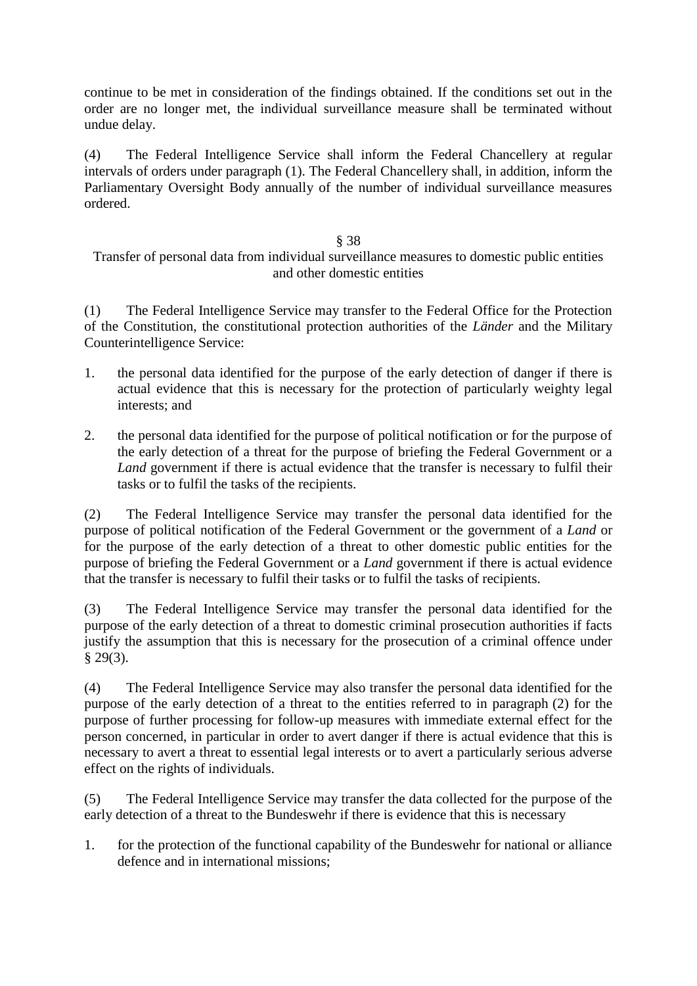continue to be met in consideration of the findings obtained. If the conditions set out in the order are no longer met, the individual surveillance measure shall be terminated without undue delay.

(4) The Federal Intelligence Service shall inform the Federal Chancellery at regular intervals of orders under paragraph (1). The Federal Chancellery shall, in addition, inform the Parliamentary Oversight Body annually of the number of individual surveillance measures ordered.

# § 38

# Transfer of personal data from individual surveillance measures to domestic public entities and other domestic entities

(1) The Federal Intelligence Service may transfer to the Federal Office for the Protection of the Constitution, the constitutional protection authorities of the *Länder* and the Military Counterintelligence Service:

- 1. the personal data identified for the purpose of the early detection of danger if there is actual evidence that this is necessary for the protection of particularly weighty legal interests; and
- 2. the personal data identified for the purpose of political notification or for the purpose of the early detection of a threat for the purpose of briefing the Federal Government or a *Land* government if there is actual evidence that the transfer is necessary to fulfil their tasks or to fulfil the tasks of the recipients.

(2) The Federal Intelligence Service may transfer the personal data identified for the purpose of political notification of the Federal Government or the government of a *Land* or for the purpose of the early detection of a threat to other domestic public entities for the purpose of briefing the Federal Government or a *Land* government if there is actual evidence that the transfer is necessary to fulfil their tasks or to fulfil the tasks of recipients.

(3) The Federal Intelligence Service may transfer the personal data identified for the purpose of the early detection of a threat to domestic criminal prosecution authorities if facts justify the assumption that this is necessary for the prosecution of a criminal offence under § 29(3).

(4) The Federal Intelligence Service may also transfer the personal data identified for the purpose of the early detection of a threat to the entities referred to in paragraph (2) for the purpose of further processing for follow-up measures with immediate external effect for the person concerned, in particular in order to avert danger if there is actual evidence that this is necessary to avert a threat to essential legal interests or to avert a particularly serious adverse effect on the rights of individuals.

(5) The Federal Intelligence Service may transfer the data collected for the purpose of the early detection of a threat to the Bundeswehr if there is evidence that this is necessary

1. for the protection of the functional capability of the Bundeswehr for national or alliance defence and in international missions;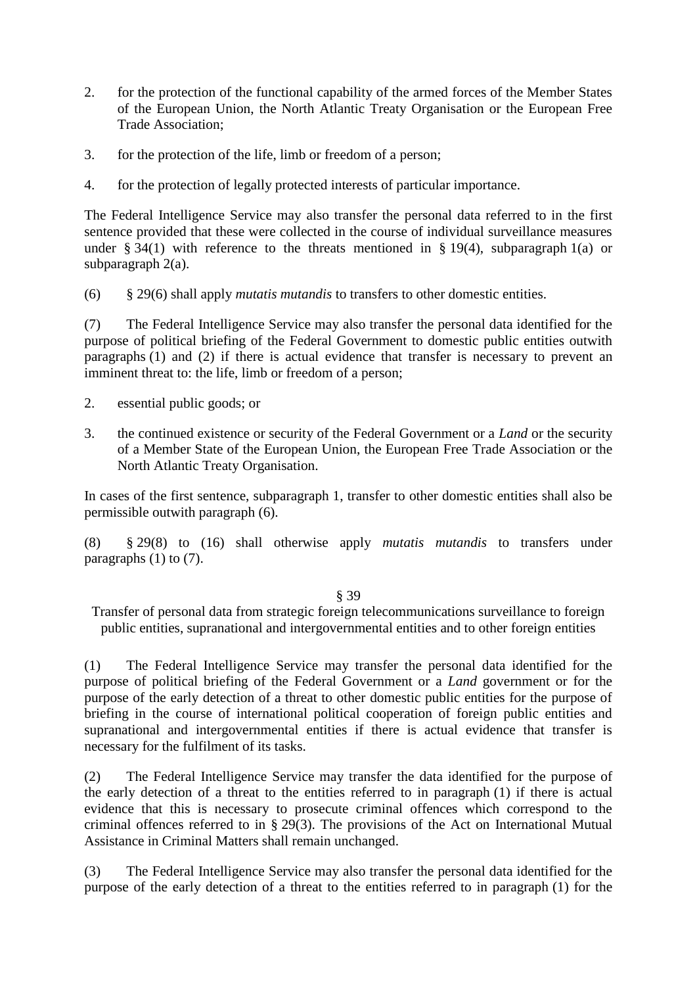- 2. for the protection of the functional capability of the armed forces of the Member States of the European Union, the North Atlantic Treaty Organisation or the European Free Trade Association;
- 3. for the protection of the life, limb or freedom of a person;
- 4. for the protection of legally protected interests of particular importance.

The Federal Intelligence Service may also transfer the personal data referred to in the first sentence provided that these were collected in the course of individual surveillance measures under § 34(1) with reference to the threats mentioned in § 19(4), subparagraph 1(a) or subparagraph 2(a).

(6) § 29(6) shall apply *mutatis mutandis* to transfers to other domestic entities.

(7) The Federal Intelligence Service may also transfer the personal data identified for the purpose of political briefing of the Federal Government to domestic public entities outwith paragraphs (1) and (2) if there is actual evidence that transfer is necessary to prevent an imminent threat to: the life, limb or freedom of a person;

- 2. essential public goods; or
- 3. the continued existence or security of the Federal Government or a *Land* or the security of a Member State of the European Union, the European Free Trade Association or the North Atlantic Treaty Organisation.

In cases of the first sentence, subparagraph 1, transfer to other domestic entities shall also be permissible outwith paragraph (6).

(8) § 29(8) to (16) shall otherwise apply *mutatis mutandis* to transfers under paragraphs (1) to (7).

### § 39

Transfer of personal data from strategic foreign telecommunications surveillance to foreign public entities, supranational and intergovernmental entities and to other foreign entities

(1) The Federal Intelligence Service may transfer the personal data identified for the purpose of political briefing of the Federal Government or a *Land* government or for the purpose of the early detection of a threat to other domestic public entities for the purpose of briefing in the course of international political cooperation of foreign public entities and supranational and intergovernmental entities if there is actual evidence that transfer is necessary for the fulfilment of its tasks.

(2) The Federal Intelligence Service may transfer the data identified for the purpose of the early detection of a threat to the entities referred to in paragraph (1) if there is actual evidence that this is necessary to prosecute criminal offences which correspond to the criminal offences referred to in § 29(3). The provisions of the Act on International Mutual Assistance in Criminal Matters shall remain unchanged.

(3) The Federal Intelligence Service may also transfer the personal data identified for the purpose of the early detection of a threat to the entities referred to in paragraph (1) for the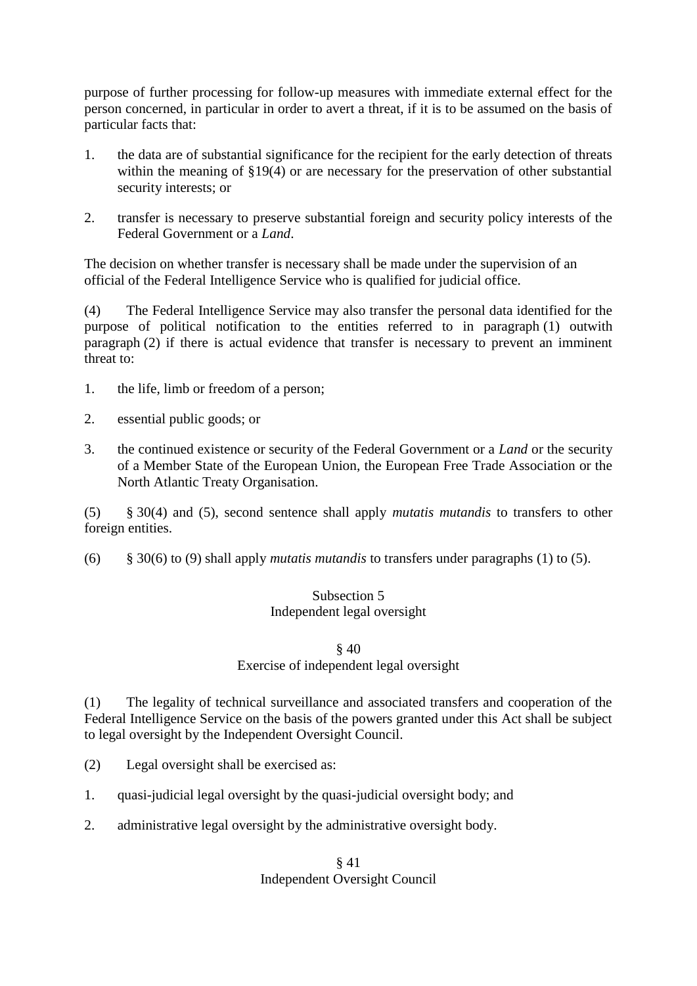purpose of further processing for follow-up measures with immediate external effect for the person concerned, in particular in order to avert a threat, if it is to be assumed on the basis of particular facts that:

- 1. the data are of substantial significance for the recipient for the early detection of threats within the meaning of §19(4) or are necessary for the preservation of other substantial security interests; or
- 2. transfer is necessary to preserve substantial foreign and security policy interests of the Federal Government or a *Land*.

The decision on whether transfer is necessary shall be made under the supervision of an official of the Federal Intelligence Service who is qualified for judicial office.

(4) The Federal Intelligence Service may also transfer the personal data identified for the purpose of political notification to the entities referred to in paragraph (1) outwith paragraph (2) if there is actual evidence that transfer is necessary to prevent an imminent threat to:

- 1. the life, limb or freedom of a person;
- 2. essential public goods; or
- 3. the continued existence or security of the Federal Government or a *Land* or the security of a Member State of the European Union, the European Free Trade Association or the North Atlantic Treaty Organisation.

(5) § 30(4) and (5), second sentence shall apply *mutatis mutandis* to transfers to other foreign entities.

(6) § 30(6) to (9) shall apply *mutatis mutandis* to transfers under paragraphs (1) to (5).

# Subsection 5 Independent legal oversight

#### § 40

### Exercise of independent legal oversight

(1) The legality of technical surveillance and associated transfers and cooperation of the Federal Intelligence Service on the basis of the powers granted under this Act shall be subject to legal oversight by the Independent Oversight Council.

- (2) Legal oversight shall be exercised as:
- 1. quasi-judicial legal oversight by the quasi-judicial oversight body; and
- 2. administrative legal oversight by the administrative oversight body.

# § 41 Independent Oversight Council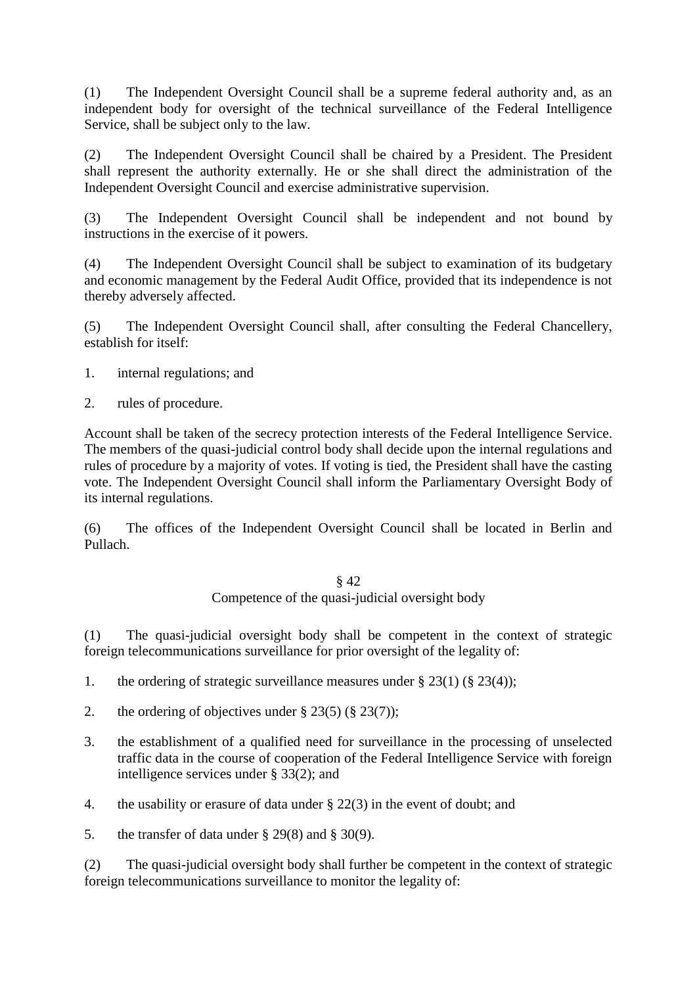(1) The Independent Oversight Council shall be a supreme federal authority and, as an independent body for oversight of the technical surveillance of the Federal Intelligence Service, shall be subject only to the law.

(2) The Independent Oversight Council shall be chaired by a President. The President shall represent the authority externally. He or she shall direct the administration of the Independent Oversight Council and exercise administrative supervision.

(3) The Independent Oversight Council shall be independent and not bound by instructions in the exercise of it powers.

(4) The Independent Oversight Council shall be subject to examination of its budgetary and economic management by the Federal Audit Office, provided that its independence is not thereby adversely affected.

(5) The Independent Oversight Council shall, after consulting the Federal Chancellery, establish for itself:

- 1. internal regulations; and
- 2. rules of procedure.

Account shall be taken of the secrecy protection interests of the Federal Intelligence Service. The members of the quasi-judicial control body shall decide upon the internal regulations and rules of procedure by a majority of votes. If voting is tied, the President shall have the casting vote. The Independent Oversight Council shall inform the Parliamentary Oversight Body of its internal regulations.

(6) The offices of the Independent Oversight Council shall be located in Berlin and Pullach.

#### § 42 Competence of the quasi-judicial oversight body

(1) The quasi-judicial oversight body shall be competent in the context of strategic foreign telecommunications surveillance for prior oversight of the legality of:

- 1. the ordering of strategic surveillance measures under  $\S 23(1) (\S 23(4))$ ;
- 2. the ordering of objectives under  $\S 23(5)$  ( $\S 23(7)$ );
- 3. the establishment of a qualified need for surveillance in the processing of unselected traffic data in the course of cooperation of the Federal Intelligence Service with foreign intelligence services under § 33(2); and
- 4. the usability or erasure of data under § 22(3) in the event of doubt; and
- 5. the transfer of data under  $\S 29(8)$  and  $\S 30(9)$ .

(2) The quasi-judicial oversight body shall further be competent in the context of strategic foreign telecommunications surveillance to monitor the legality of: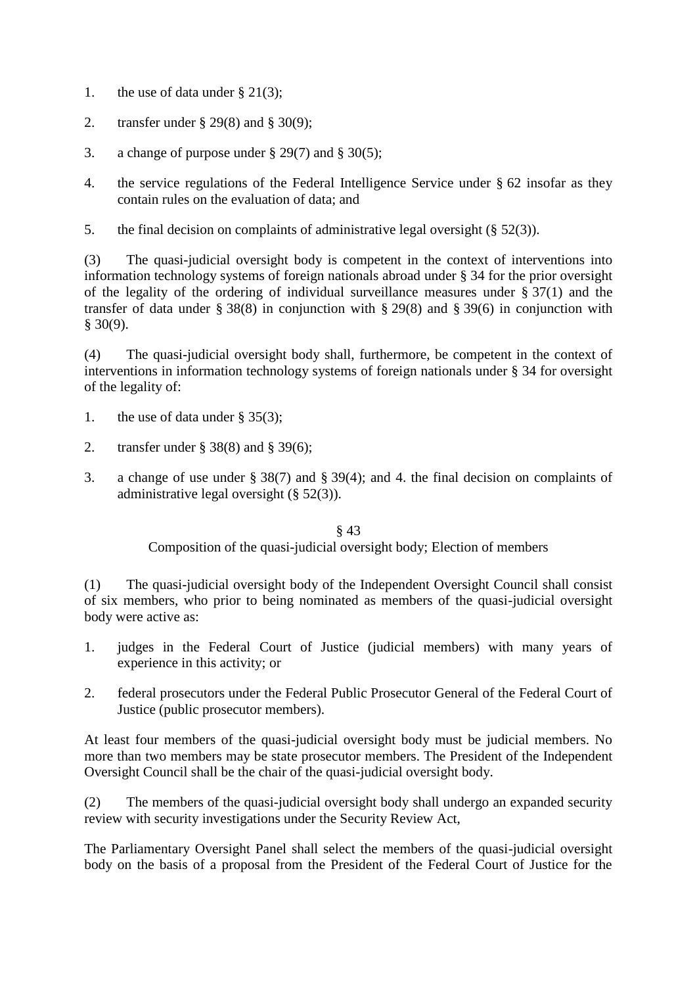- 1. the use of data under  $\S 21(3)$ ;
- 2. transfer under § 29(8) and § 30(9);
- 3. a change of purpose under  $\S 29(7)$  and  $\S 30(5)$ ;
- 4. the service regulations of the Federal Intelligence Service under § 62 insofar as they contain rules on the evaluation of data; and
- 5. the final decision on complaints of administrative legal oversight (§ 52(3)).

(3) The quasi-judicial oversight body is competent in the context of interventions into information technology systems of foreign nationals abroad under § 34 for the prior oversight of the legality of the ordering of individual surveillance measures under § 37(1) and the transfer of data under § 38(8) in conjunction with § 29(8) and § 39(6) in conjunction with § 30(9).

(4) The quasi-judicial oversight body shall, furthermore, be competent in the context of interventions in information technology systems of foreign nationals under § 34 for oversight of the legality of:

- 1. the use of data under § 35(3);
- 2. transfer under § 38(8) and § 39(6);
- 3. a change of use under § 38(7) and § 39(4); and 4. the final decision on complaints of administrative legal oversight (§ 52(3)).

§ 43 Composition of the quasi-judicial oversight body; Election of members

(1) The quasi-judicial oversight body of the Independent Oversight Council shall consist of six members, who prior to being nominated as members of the quasi-judicial oversight body were active as:

- 1. judges in the Federal Court of Justice (judicial members) with many years of experience in this activity; or
- 2. federal prosecutors under the Federal Public Prosecutor General of the Federal Court of Justice (public prosecutor members).

At least four members of the quasi-judicial oversight body must be judicial members. No more than two members may be state prosecutor members. The President of the Independent Oversight Council shall be the chair of the quasi-judicial oversight body.

(2) The members of the quasi-judicial oversight body shall undergo an expanded security review with security investigations under the Security Review Act,

The Parliamentary Oversight Panel shall select the members of the quasi-judicial oversight body on the basis of a proposal from the President of the Federal Court of Justice for the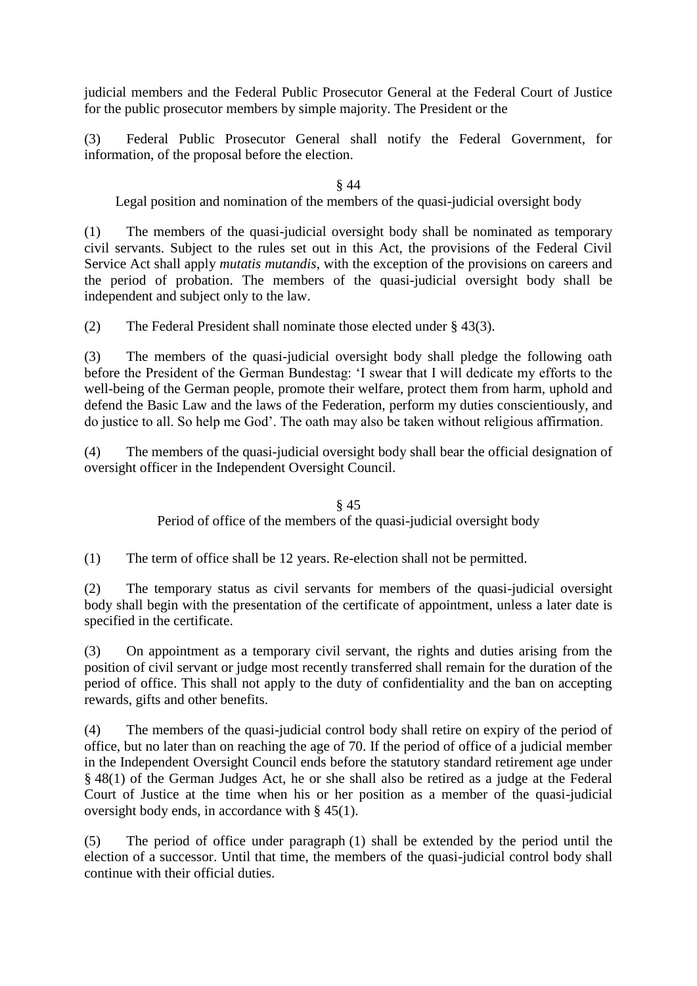judicial members and the Federal Public Prosecutor General at the Federal Court of Justice for the public prosecutor members by simple majority. The President or the

(3) Federal Public Prosecutor General shall notify the Federal Government, for information, of the proposal before the election.

§ 44

Legal position and nomination of the members of the quasi-judicial oversight body

(1) The members of the quasi-judicial oversight body shall be nominated as temporary civil servants. Subject to the rules set out in this Act, the provisions of the Federal Civil Service Act shall apply *mutatis mutandis*, with the exception of the provisions on careers and the period of probation. The members of the quasi-judicial oversight body shall be independent and subject only to the law.

(2) The Federal President shall nominate those elected under § 43(3).

(3) The members of the quasi-judicial oversight body shall pledge the following oath before the President of the German Bundestag: 'I swear that I will dedicate my efforts to the well-being of the German people, promote their welfare, protect them from harm, uphold and defend the Basic Law and the laws of the Federation, perform my duties conscientiously, and do justice to all. So help me God'. The oath may also be taken without religious affirmation.

(4) The members of the quasi-judicial oversight body shall bear the official designation of oversight officer in the Independent Oversight Council.

> § 45 Period of office of the members of the quasi-judicial oversight body

(1) The term of office shall be 12 years. Re-election shall not be permitted.

(2) The temporary status as civil servants for members of the quasi-judicial oversight body shall begin with the presentation of the certificate of appointment, unless a later date is specified in the certificate.

(3) On appointment as a temporary civil servant, the rights and duties arising from the position of civil servant or judge most recently transferred shall remain for the duration of the period of office. This shall not apply to the duty of confidentiality and the ban on accepting rewards, gifts and other benefits.

(4) The members of the quasi-judicial control body shall retire on expiry of the period of office, but no later than on reaching the age of 70. If the period of office of a judicial member in the Independent Oversight Council ends before the statutory standard retirement age under § 48(1) of the German Judges Act, he or she shall also be retired as a judge at the Federal Court of Justice at the time when his or her position as a member of the quasi-judicial oversight body ends, in accordance with § 45(1).

(5) The period of office under paragraph (1) shall be extended by the period until the election of a successor. Until that time, the members of the quasi-judicial control body shall continue with their official duties.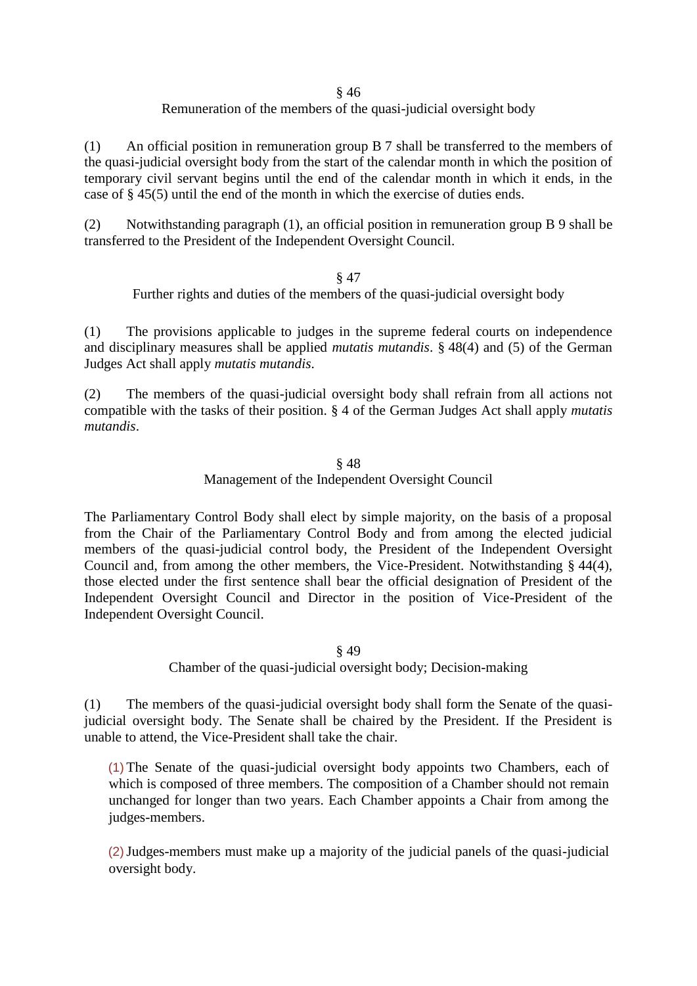§ 46

# Remuneration of the members of the quasi-judicial oversight body

(1) An official position in remuneration group B 7 shall be transferred to the members of the quasi-judicial oversight body from the start of the calendar month in which the position of temporary civil servant begins until the end of the calendar month in which it ends, in the case of § 45(5) until the end of the month in which the exercise of duties ends.

(2) Notwithstanding paragraph (1), an official position in remuneration group B 9 shall be transferred to the President of the Independent Oversight Council.

#### § 47

Further rights and duties of the members of the quasi-judicial oversight body

(1) The provisions applicable to judges in the supreme federal courts on independence and disciplinary measures shall be applied *mutatis mutandis*. § 48(4) and (5) of the German Judges Act shall apply *mutatis mutandis*.

(2) The members of the quasi-judicial oversight body shall refrain from all actions not compatible with the tasks of their position. § 4 of the German Judges Act shall apply *mutatis mutandis*.

#### § 48

### Management of the Independent Oversight Council

The Parliamentary Control Body shall elect by simple majority, on the basis of a proposal from the Chair of the Parliamentary Control Body and from among the elected judicial members of the quasi-judicial control body, the President of the Independent Oversight Council and, from among the other members, the Vice-President. Notwithstanding § 44(4), those elected under the first sentence shall bear the official designation of President of the Independent Oversight Council and Director in the position of Vice-President of the Independent Oversight Council.

§ 49

Chamber of the quasi-judicial oversight body; Decision-making

(1) The members of the quasi-judicial oversight body shall form the Senate of the quasijudicial oversight body. The Senate shall be chaired by the President. If the President is unable to attend, the Vice-President shall take the chair.

(1) The Senate of the quasi-judicial oversight body appoints two Chambers, each of which is composed of three members. The composition of a Chamber should not remain unchanged for longer than two years. Each Chamber appoints a Chair from among the judges-members.

(2)Judges-members must make up a majority of the judicial panels of the quasi-judicial oversight body.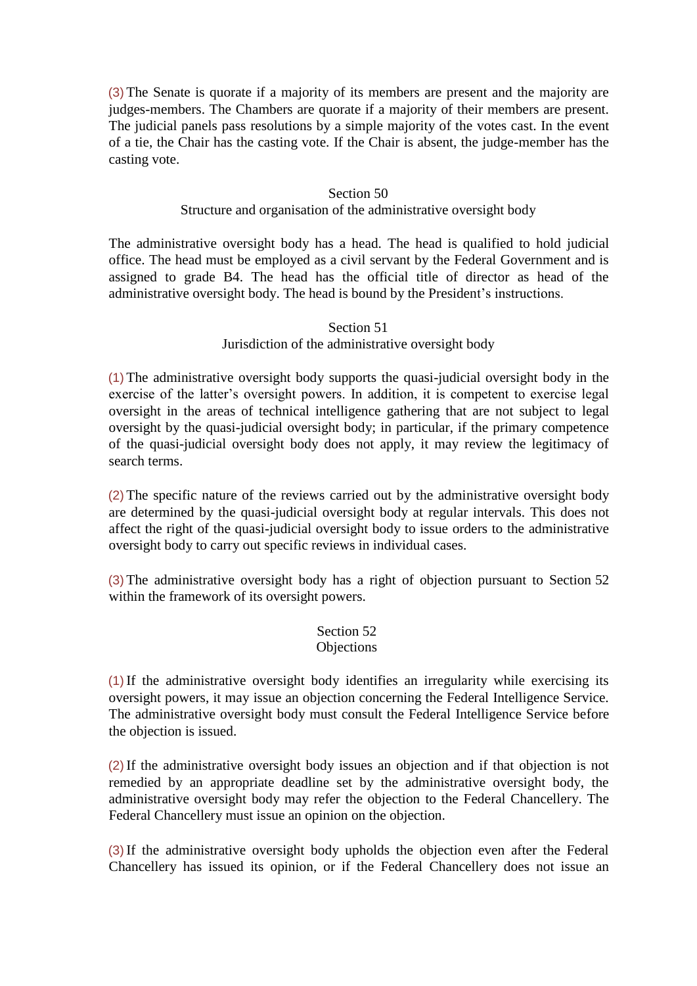(3) The Senate is quorate if a majority of its members are present and the majority are judges-members. The Chambers are quorate if a majority of their members are present. The judicial panels pass resolutions by a simple majority of the votes cast. In the event of a tie, the Chair has the casting vote. If the Chair is absent, the judge-member has the casting vote.

### Section 50 Structure and organisation of the administrative oversight body

The administrative oversight body has a head. The head is qualified to hold judicial office. The head must be employed as a civil servant by the Federal Government and is assigned to grade B4. The head has the official title of director as head of the administrative oversight body. The head is bound by the President's instructions.

# Section 51 Jurisdiction of the administrative oversight body

(1) The administrative oversight body supports the quasi-judicial oversight body in the exercise of the latter's oversight powers. In addition, it is competent to exercise legal oversight in the areas of technical intelligence gathering that are not subject to legal oversight by the quasi-judicial oversight body; in particular, if the primary competence of the quasi-judicial oversight body does not apply, it may review the legitimacy of search terms.

(2) The specific nature of the reviews carried out by the administrative oversight body are determined by the quasi-judicial oversight body at regular intervals. This does not affect the right of the quasi-judicial oversight body to issue orders to the administrative oversight body to carry out specific reviews in individual cases.

(3) The administrative oversight body has a right of objection pursuant to Section 52 within the framework of its oversight powers.

#### Section 52 **Objections**

(1) If the administrative oversight body identifies an irregularity while exercising its oversight powers, it may issue an objection concerning the Federal Intelligence Service. The administrative oversight body must consult the Federal Intelligence Service before the objection is issued.

(2) If the administrative oversight body issues an objection and if that objection is not remedied by an appropriate deadline set by the administrative oversight body, the administrative oversight body may refer the objection to the Federal Chancellery. The Federal Chancellery must issue an opinion on the objection.

(3) If the administrative oversight body upholds the objection even after the Federal Chancellery has issued its opinion, or if the Federal Chancellery does not issue an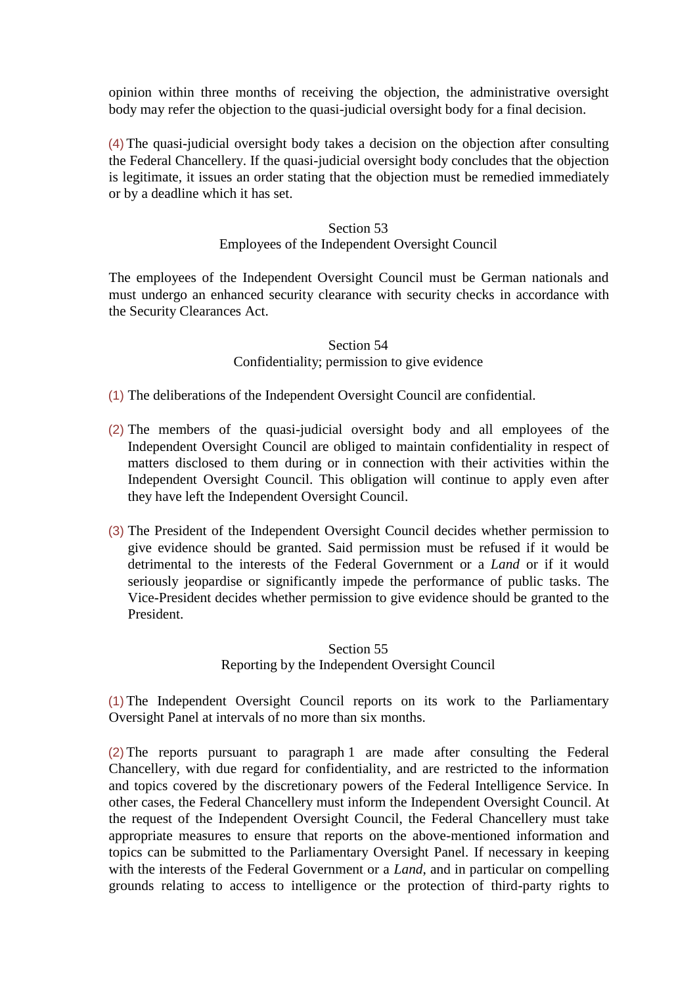opinion within three months of receiving the objection, the administrative oversight body may refer the objection to the quasi-judicial oversight body for a final decision.

(4) The quasi-judicial oversight body takes a decision on the objection after consulting the Federal Chancellery. If the quasi-judicial oversight body concludes that the objection is legitimate, it issues an order stating that the objection must be remedied immediately or by a deadline which it has set.

#### Section 53

# Employees of the Independent Oversight Council

The employees of the Independent Oversight Council must be German nationals and must undergo an enhanced security clearance with security checks in accordance with the Security Clearances Act.

# Section 54 Confidentiality; permission to give evidence

(1) The deliberations of the Independent Oversight Council are confidential.

- (2) The members of the quasi-judicial oversight body and all employees of the Independent Oversight Council are obliged to maintain confidentiality in respect of matters disclosed to them during or in connection with their activities within the Independent Oversight Council. This obligation will continue to apply even after they have left the Independent Oversight Council.
- (3) The President of the Independent Oversight Council decides whether permission to give evidence should be granted. Said permission must be refused if it would be detrimental to the interests of the Federal Government or a *Land* or if it would seriously jeopardise or significantly impede the performance of public tasks. The Vice-President decides whether permission to give evidence should be granted to the President.

# Section 55 Reporting by the Independent Oversight Council

(1) The Independent Oversight Council reports on its work to the Parliamentary Oversight Panel at intervals of no more than six months.

(2) The reports pursuant to paragraph 1 are made after consulting the Federal Chancellery, with due regard for confidentiality, and are restricted to the information and topics covered by the discretionary powers of the Federal Intelligence Service. In other cases, the Federal Chancellery must inform the Independent Oversight Council. At the request of the Independent Oversight Council, the Federal Chancellery must take appropriate measures to ensure that reports on the above-mentioned information and topics can be submitted to the Parliamentary Oversight Panel. If necessary in keeping with the interests of the Federal Government or a *Land*, and in particular on compelling grounds relating to access to intelligence or the protection of third-party rights to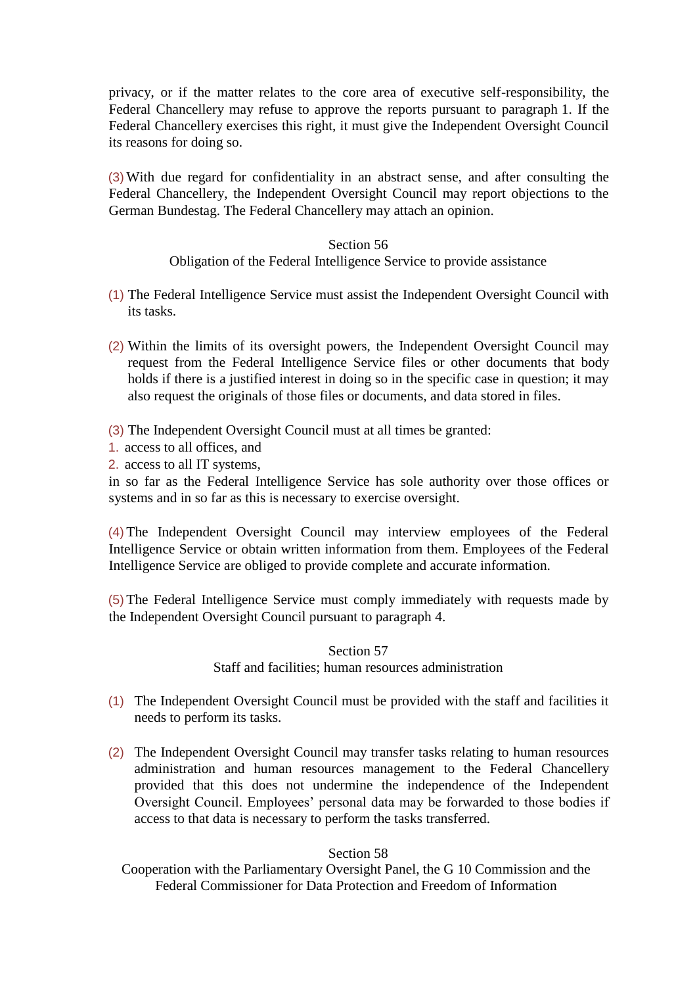privacy, or if the matter relates to the core area of executive self-responsibility, the Federal Chancellery may refuse to approve the reports pursuant to paragraph 1. If the Federal Chancellery exercises this right, it must give the Independent Oversight Council its reasons for doing so.

(3) With due regard for confidentiality in an abstract sense, and after consulting the Federal Chancellery, the Independent Oversight Council may report objections to the German Bundestag. The Federal Chancellery may attach an opinion.

#### Section 56

### Obligation of the Federal Intelligence Service to provide assistance

- (1) The Federal Intelligence Service must assist the Independent Oversight Council with its tasks.
- (2) Within the limits of its oversight powers, the Independent Oversight Council may request from the Federal Intelligence Service files or other documents that body holds if there is a justified interest in doing so in the specific case in question; it may also request the originals of those files or documents, and data stored in files.
- (3) The Independent Oversight Council must at all times be granted:
- 1. access to all offices, and
- 2. access to all IT systems,

in so far as the Federal Intelligence Service has sole authority over those offices or systems and in so far as this is necessary to exercise oversight.

(4) The Independent Oversight Council may interview employees of the Federal Intelligence Service or obtain written information from them. Employees of the Federal Intelligence Service are obliged to provide complete and accurate information.

(5) The Federal Intelligence Service must comply immediately with requests made by the Independent Oversight Council pursuant to paragraph 4.

> Section 57 Staff and facilities; human resources administration

- (1) The Independent Oversight Council must be provided with the staff and facilities it needs to perform its tasks.
- (2) The Independent Oversight Council may transfer tasks relating to human resources administration and human resources management to the Federal Chancellery provided that this does not undermine the independence of the Independent Oversight Council. Employees' personal data may be forwarded to those bodies if access to that data is necessary to perform the tasks transferred.

# Section 58

Cooperation with the Parliamentary Oversight Panel, the G 10 Commission and the Federal Commissioner for Data Protection and Freedom of Information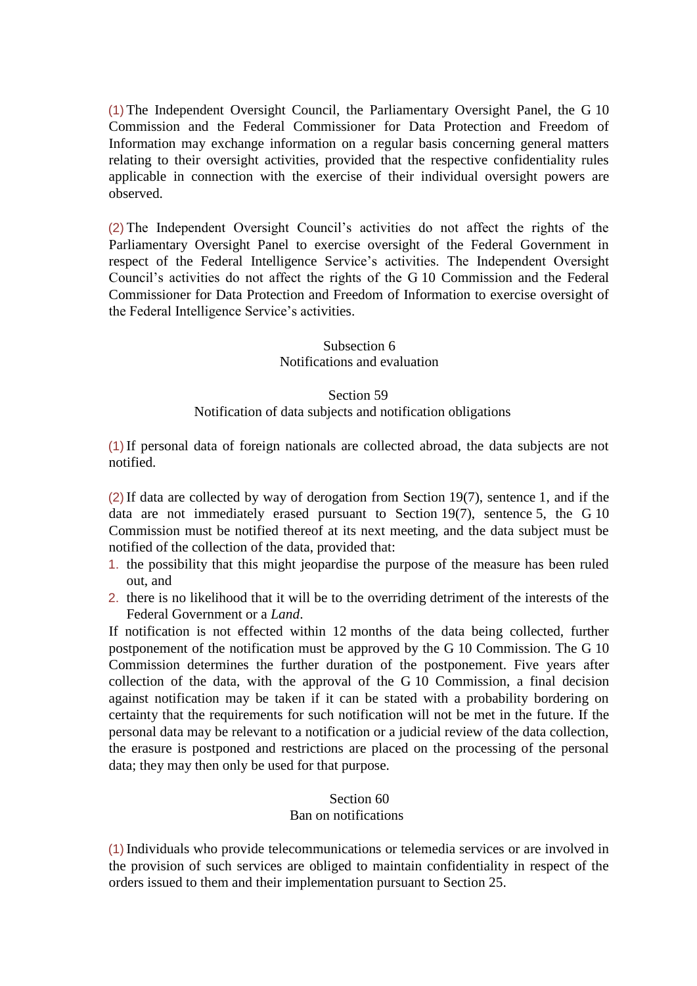(1) The Independent Oversight Council, the Parliamentary Oversight Panel, the G 10 Commission and the Federal Commissioner for Data Protection and Freedom of Information may exchange information on a regular basis concerning general matters relating to their oversight activities, provided that the respective confidentiality rules applicable in connection with the exercise of their individual oversight powers are observed.

(2) The Independent Oversight Council's activities do not affect the rights of the Parliamentary Oversight Panel to exercise oversight of the Federal Government in respect of the Federal Intelligence Service's activities. The Independent Oversight Council's activities do not affect the rights of the G 10 Commission and the Federal Commissioner for Data Protection and Freedom of Information to exercise oversight of the Federal Intelligence Service's activities.

# Subsection 6 Notifications and evaluation

#### Section 59

# Notification of data subjects and notification obligations

(1) If personal data of foreign nationals are collected abroad, the data subjects are not notified.

(2) If data are collected by way of derogation from Section 19(7), sentence 1, and if the data are not immediately erased pursuant to Section 19(7), sentence 5, the G 10 Commission must be notified thereof at its next meeting, and the data subject must be notified of the collection of the data, provided that:

- 1. the possibility that this might jeopardise the purpose of the measure has been ruled out, and
- 2. there is no likelihood that it will be to the overriding detriment of the interests of the Federal Government or a *Land*.

If notification is not effected within 12 months of the data being collected, further postponement of the notification must be approved by the G 10 Commission. The G 10 Commission determines the further duration of the postponement. Five years after collection of the data, with the approval of the G 10 Commission, a final decision against notification may be taken if it can be stated with a probability bordering on certainty that the requirements for such notification will not be met in the future. If the personal data may be relevant to a notification or a judicial review of the data collection, the erasure is postponed and restrictions are placed on the processing of the personal data; they may then only be used for that purpose.

# Section 60 Ban on notifications

(1) Individuals who provide telecommunications or telemedia services or are involved in the provision of such services are obliged to maintain confidentiality in respect of the orders issued to them and their implementation pursuant to Section 25.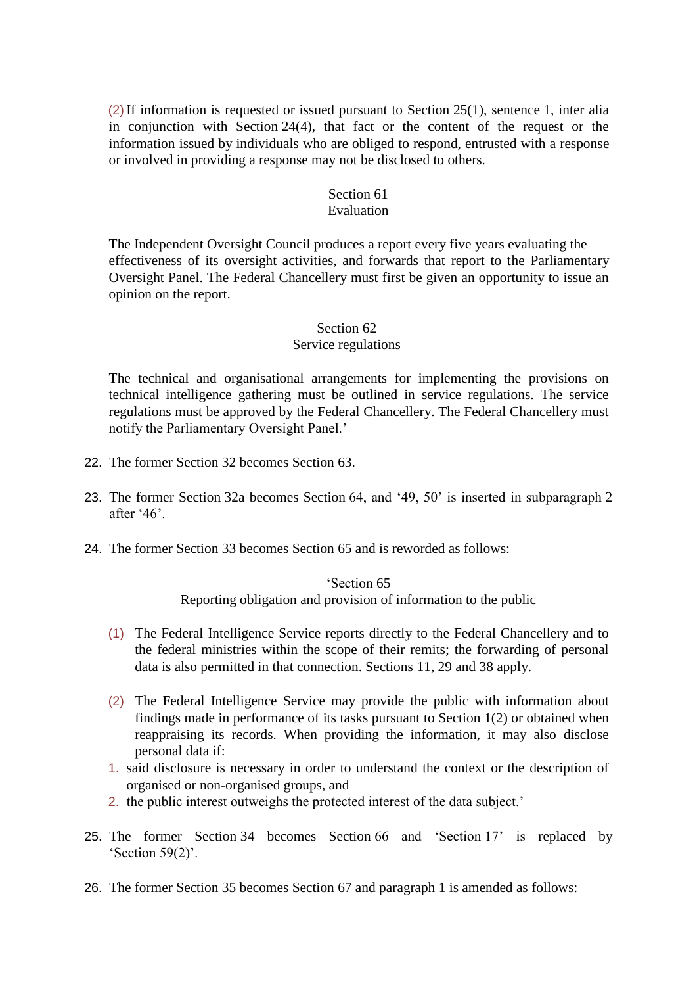(2) If information is requested or issued pursuant to Section 25(1), sentence 1, inter alia in conjunction with Section 24(4), that fact or the content of the request or the information issued by individuals who are obliged to respond, entrusted with a response or involved in providing a response may not be disclosed to others.

# Section 61

# Evaluation

The Independent Oversight Council produces a report every five years evaluating the effectiveness of its oversight activities, and forwards that report to the Parliamentary Oversight Panel. The Federal Chancellery must first be given an opportunity to issue an opinion on the report.

# Section 62

# Service regulations

The technical and organisational arrangements for implementing the provisions on technical intelligence gathering must be outlined in service regulations. The service regulations must be approved by the Federal Chancellery. The Federal Chancellery must notify the Parliamentary Oversight Panel.'

- 22. The former Section 32 becomes Section 63.
- 23. The former Section 32a becomes Section 64, and '49, 50' is inserted in subparagraph 2 after '46'.
- 24. The former Section 33 becomes Section 65 and is reworded as follows:

# 'Section 65 Reporting obligation and provision of information to the public

- (1) The Federal Intelligence Service reports directly to the Federal Chancellery and to the federal ministries within the scope of their remits; the forwarding of personal data is also permitted in that connection. Sections 11, 29 and 38 apply.
- (2) The Federal Intelligence Service may provide the public with information about findings made in performance of its tasks pursuant to Section 1(2) or obtained when reappraising its records. When providing the information, it may also disclose personal data if:
- 1. said disclosure is necessary in order to understand the context or the description of organised or non-organised groups, and
- 2. the public interest outweighs the protected interest of the data subject.'
- 25. The former Section 34 becomes Section 66 and 'Section 17' is replaced by 'Section 59(2)'.
- 26. The former Section 35 becomes Section 67 and paragraph 1 is amended as follows: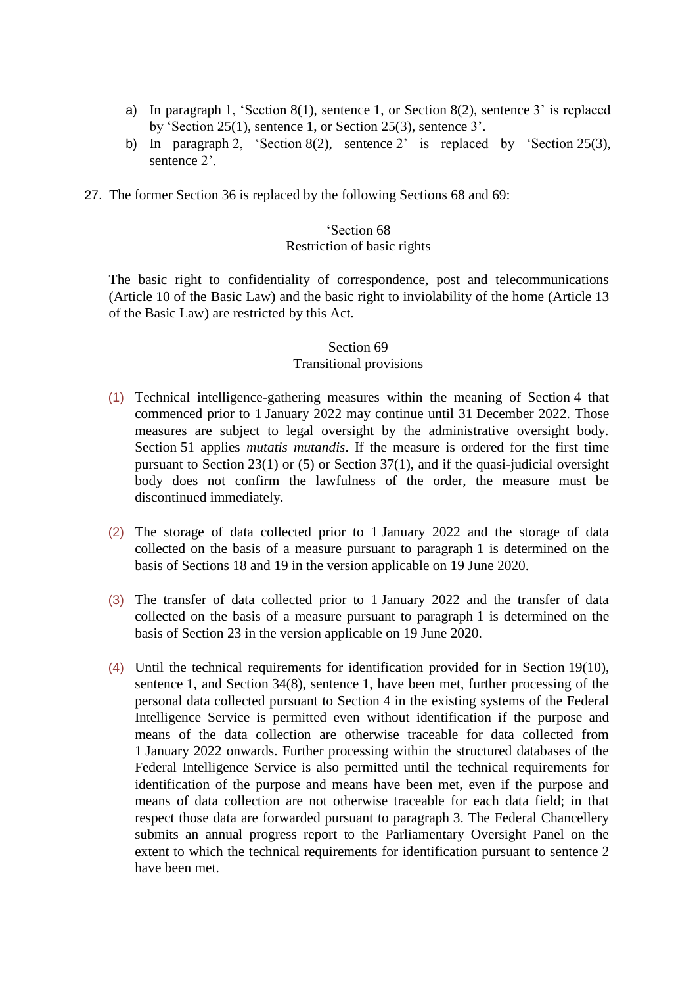- a) In paragraph 1, 'Section 8(1), sentence 1, or Section 8(2), sentence 3' is replaced by 'Section 25(1), sentence 1, or Section 25(3), sentence 3'.
- b) In paragraph 2, 'Section 8(2), sentence 2' is replaced by 'Section 25(3), sentence 2'.
- 27. The former Section 36 is replaced by the following Sections 68 and 69:

# 'Section 68

#### Restriction of basic rights

The basic right to confidentiality of correspondence, post and telecommunications (Article 10 of the Basic Law) and the basic right to inviolability of the home (Article 13 of the Basic Law) are restricted by this Act.

# Section 69 Transitional provisions

- (1) Technical intelligence-gathering measures within the meaning of Section 4 that commenced prior to 1 January 2022 may continue until 31 December 2022. Those measures are subject to legal oversight by the administrative oversight body. Section 51 applies *mutatis mutandis*. If the measure is ordered for the first time pursuant to Section 23(1) or (5) or Section 37(1), and if the quasi-judicial oversight body does not confirm the lawfulness of the order, the measure must be discontinued immediately.
- (2) The storage of data collected prior to 1 January 2022 and the storage of data collected on the basis of a measure pursuant to paragraph 1 is determined on the basis of Sections 18 and 19 in the version applicable on 19 June 2020.
- (3) The transfer of data collected prior to 1 January 2022 and the transfer of data collected on the basis of a measure pursuant to paragraph 1 is determined on the basis of Section 23 in the version applicable on 19 June 2020.
- (4) Until the technical requirements for identification provided for in Section 19(10), sentence 1, and Section 34(8), sentence 1, have been met, further processing of the personal data collected pursuant to Section 4 in the existing systems of the Federal Intelligence Service is permitted even without identification if the purpose and means of the data collection are otherwise traceable for data collected from 1 January 2022 onwards. Further processing within the structured databases of the Federal Intelligence Service is also permitted until the technical requirements for identification of the purpose and means have been met, even if the purpose and means of data collection are not otherwise traceable for each data field; in that respect those data are forwarded pursuant to paragraph 3. The Federal Chancellery submits an annual progress report to the Parliamentary Oversight Panel on the extent to which the technical requirements for identification pursuant to sentence 2 have been met.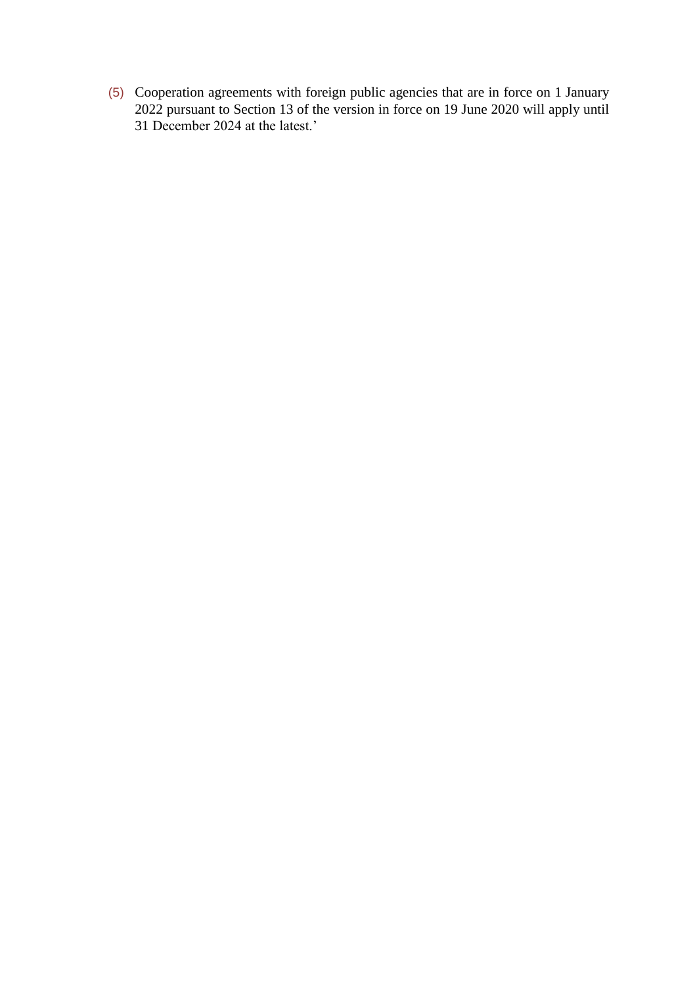(5) Cooperation agreements with foreign public agencies that are in force on 1 January 2022 pursuant to Section 13 of the version in force on 19 June 2020 will apply until 31 December 2024 at the latest.'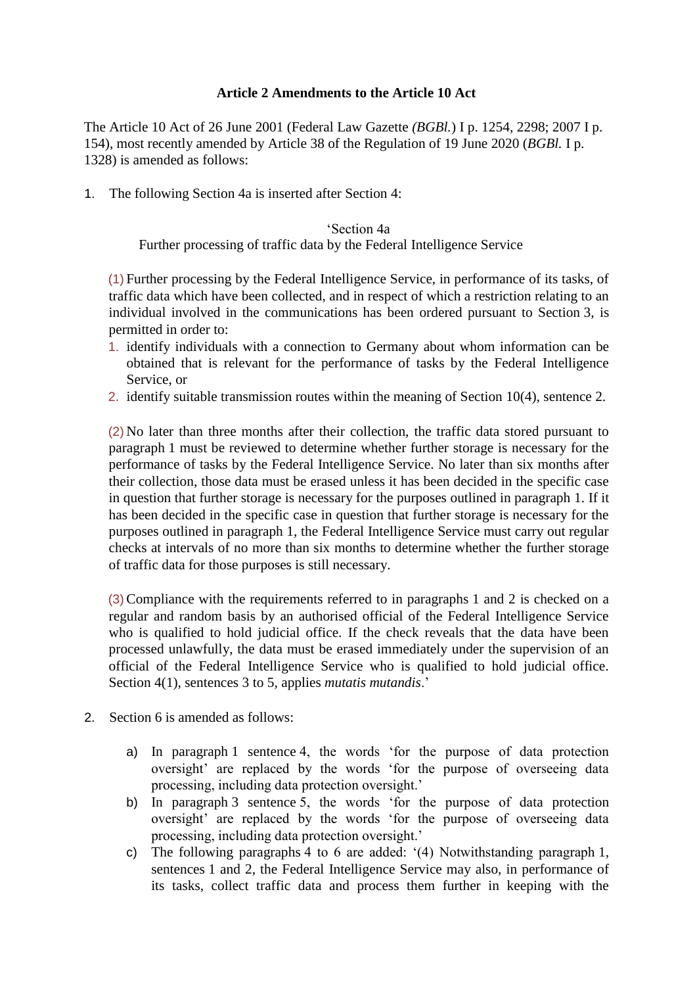# **Article 2 Amendments to the Article 10 Act**

The Article 10 Act of 26 June 2001 (Federal Law Gazette *(BGBl.*) I p. 1254, 2298; 2007 I p. 154), most recently amended by Article 38 of the Regulation of 19 June 2020 (*BGBl.* I p. 1328) is amended as follows:

1. The following Section 4a is inserted after Section 4:

# 'Section 4a

Further processing of traffic data by the Federal Intelligence Service

(1) Further processing by the Federal Intelligence Service, in performance of its tasks, of traffic data which have been collected, and in respect of which a restriction relating to an individual involved in the communications has been ordered pursuant to Section 3, is permitted in order to:

- 1. identify individuals with a connection to Germany about whom information can be obtained that is relevant for the performance of tasks by the Federal Intelligence Service, or
- 2. identify suitable transmission routes within the meaning of Section 10(4), sentence 2.

(2) No later than three months after their collection, the traffic data stored pursuant to paragraph 1 must be reviewed to determine whether further storage is necessary for the performance of tasks by the Federal Intelligence Service. No later than six months after their collection, those data must be erased unless it has been decided in the specific case in question that further storage is necessary for the purposes outlined in paragraph 1. If it has been decided in the specific case in question that further storage is necessary for the purposes outlined in paragraph 1, the Federal Intelligence Service must carry out regular checks at intervals of no more than six months to determine whether the further storage of traffic data for those purposes is still necessary.

(3)Compliance with the requirements referred to in paragraphs 1 and 2 is checked on a regular and random basis by an authorised official of the Federal Intelligence Service who is qualified to hold judicial office. If the check reveals that the data have been processed unlawfully, the data must be erased immediately under the supervision of an official of the Federal Intelligence Service who is qualified to hold judicial office. Section 4(1), sentences 3 to 5, applies *mutatis mutandis*.'

- 2. Section 6 is amended as follows:
	- a) In paragraph 1 sentence 4, the words 'for the purpose of data protection oversight' are replaced by the words 'for the purpose of overseeing data processing, including data protection oversight.'
	- b) In paragraph 3 sentence 5, the words 'for the purpose of data protection oversight' are replaced by the words 'for the purpose of overseeing data processing, including data protection oversight.'
	- c) The following paragraphs 4 to 6 are added: '(4) Notwithstanding paragraph 1, sentences 1 and 2, the Federal Intelligence Service may also, in performance of its tasks, collect traffic data and process them further in keeping with the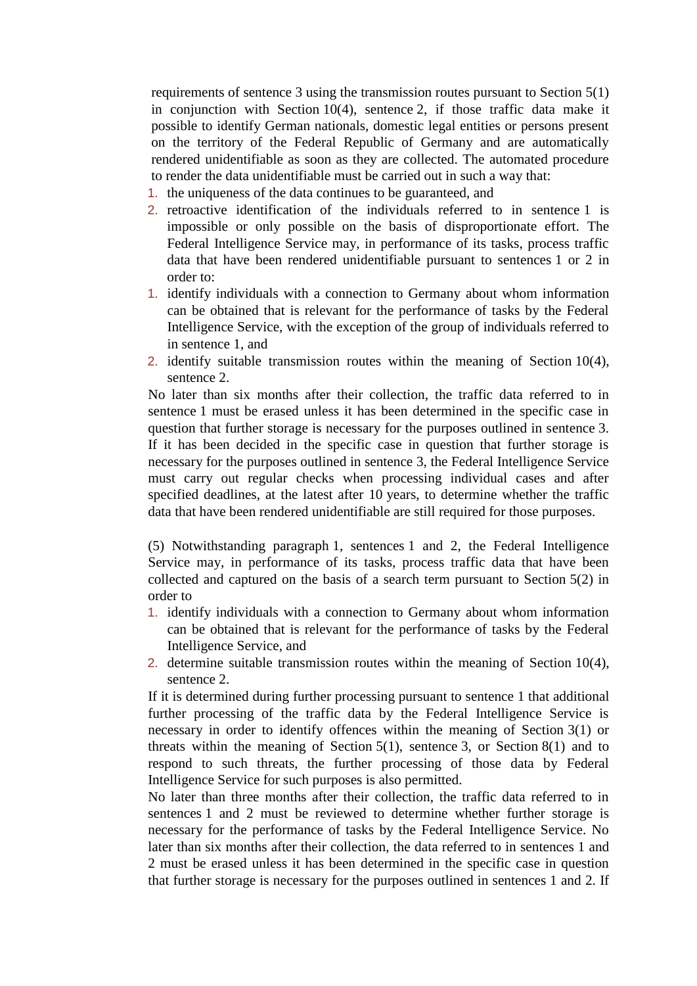requirements of sentence 3 using the transmission routes pursuant to Section 5(1) in conjunction with Section 10(4), sentence 2, if those traffic data make it possible to identify German nationals, domestic legal entities or persons present on the territory of the Federal Republic of Germany and are automatically rendered unidentifiable as soon as they are collected. The automated procedure to render the data unidentifiable must be carried out in such a way that:

- 1. the uniqueness of the data continues to be guaranteed, and
- 2. retroactive identification of the individuals referred to in sentence 1 is impossible or only possible on the basis of disproportionate effort. The Federal Intelligence Service may, in performance of its tasks, process traffic data that have been rendered unidentifiable pursuant to sentences 1 or 2 in order to:
- 1. identify individuals with a connection to Germany about whom information can be obtained that is relevant for the performance of tasks by the Federal Intelligence Service, with the exception of the group of individuals referred to in sentence 1, and
- 2. identify suitable transmission routes within the meaning of Section 10(4), sentence 2.

No later than six months after their collection, the traffic data referred to in sentence 1 must be erased unless it has been determined in the specific case in question that further storage is necessary for the purposes outlined in sentence 3. If it has been decided in the specific case in question that further storage is necessary for the purposes outlined in sentence 3, the Federal Intelligence Service must carry out regular checks when processing individual cases and after specified deadlines, at the latest after 10 years, to determine whether the traffic data that have been rendered unidentifiable are still required for those purposes.

(5) Notwithstanding paragraph 1, sentences 1 and 2, the Federal Intelligence Service may, in performance of its tasks, process traffic data that have been collected and captured on the basis of a search term pursuant to Section 5(2) in order to

- 1. identify individuals with a connection to Germany about whom information can be obtained that is relevant for the performance of tasks by the Federal Intelligence Service, and
- 2. determine suitable transmission routes within the meaning of Section 10(4), sentence 2.

If it is determined during further processing pursuant to sentence 1 that additional further processing of the traffic data by the Federal Intelligence Service is necessary in order to identify offences within the meaning of Section 3(1) or threats within the meaning of Section 5(1), sentence 3, or Section 8(1) and to respond to such threats, the further processing of those data by Federal Intelligence Service for such purposes is also permitted.

No later than three months after their collection, the traffic data referred to in sentences 1 and 2 must be reviewed to determine whether further storage is necessary for the performance of tasks by the Federal Intelligence Service. No later than six months after their collection, the data referred to in sentences 1 and 2 must be erased unless it has been determined in the specific case in question that further storage is necessary for the purposes outlined in sentences 1 and 2. If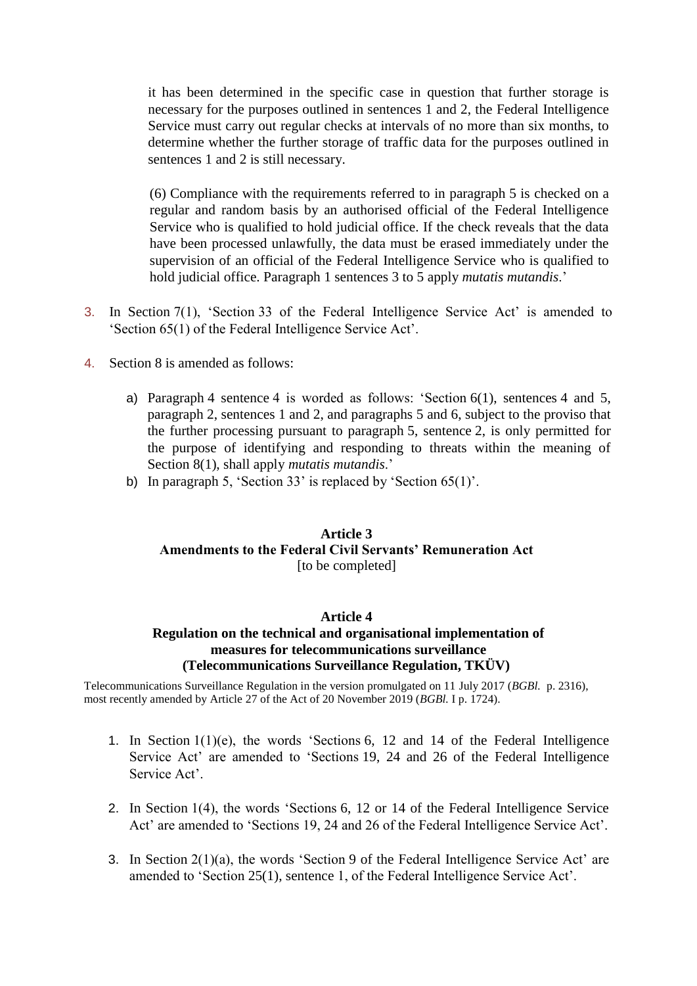it has been determined in the specific case in question that further storage is necessary for the purposes outlined in sentences 1 and 2, the Federal Intelligence Service must carry out regular checks at intervals of no more than six months, to determine whether the further storage of traffic data for the purposes outlined in sentences 1 and 2 is still necessary.

(6) Compliance with the requirements referred to in paragraph 5 is checked on a regular and random basis by an authorised official of the Federal Intelligence Service who is qualified to hold judicial office. If the check reveals that the data have been processed unlawfully, the data must be erased immediately under the supervision of an official of the Federal Intelligence Service who is qualified to hold judicial office. Paragraph 1 sentences 3 to 5 apply *mutatis mutandis*.'

- 3. In Section 7(1), 'Section 33 of the Federal Intelligence Service Act' is amended to 'Section 65(1) of the Federal Intelligence Service Act'.
- 4. Section 8 is amended as follows:
	- a) Paragraph 4 sentence 4 is worded as follows: 'Section 6(1), sentences 4 and 5, paragraph 2, sentences 1 and 2, and paragraphs 5 and 6, subject to the proviso that the further processing pursuant to paragraph 5, sentence 2, is only permitted for the purpose of identifying and responding to threats within the meaning of Section 8(1), shall apply *mutatis mutandis*.'
	- b) In paragraph 5, 'Section 33' is replaced by 'Section 65(1)'.

# **Article 3 Amendments to the Federal Civil Servants' Remuneration Act**  [to be completed]

#### **Article 4**

# **Regulation on the technical and organisational implementation of measures for telecommunications surveillance (Telecommunications Surveillance Regulation, TKÜV)**

Telecommunications Surveillance Regulation in the version promulgated on 11 July 2017 (*BGBl.* p. 2316), most recently amended by Article 27 of the Act of 20 November 2019 (*BGBl.* I p. 1724).

- 1. In Section 1(1)(e), the words 'Sections 6, 12 and 14 of the Federal Intelligence Service Act' are amended to 'Sections 19, 24 and 26 of the Federal Intelligence Service Act'.
- 2. In Section 1(4), the words 'Sections 6, 12 or 14 of the Federal Intelligence Service Act' are amended to 'Sections 19, 24 and 26 of the Federal Intelligence Service Act'.
- 3. In Section 2(1)(a), the words 'Section 9 of the Federal Intelligence Service Act' are amended to 'Section 25(1), sentence 1, of the Federal Intelligence Service Act'.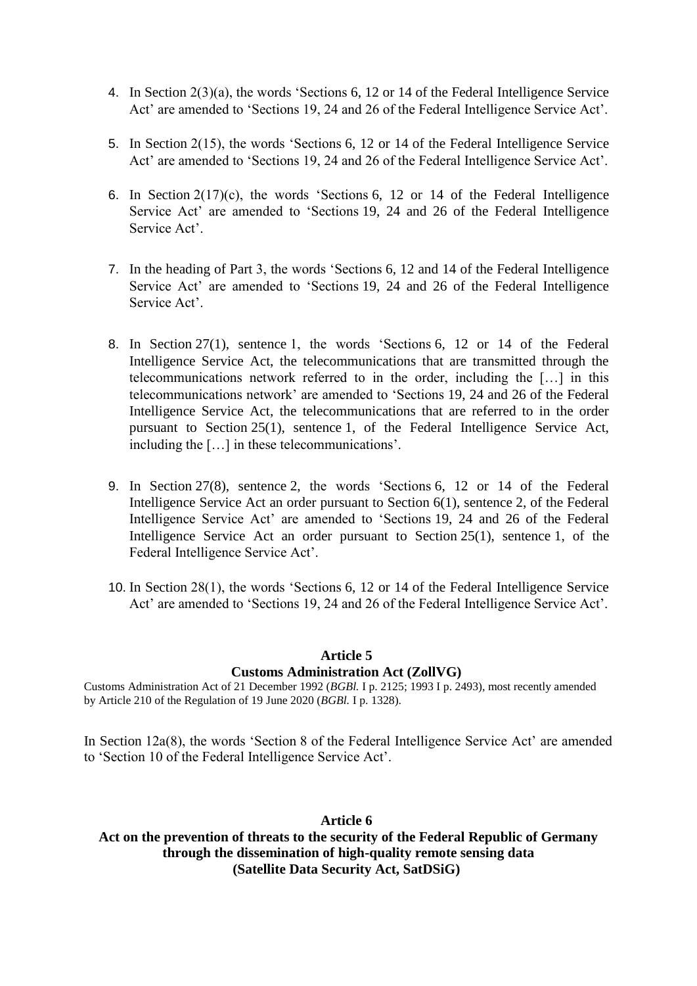- 4. In Section 2(3)(a), the words 'Sections 6, 12 or 14 of the Federal Intelligence Service Act' are amended to 'Sections 19, 24 and 26 of the Federal Intelligence Service Act'.
- 5. In Section 2(15), the words 'Sections 6, 12 or 14 of the Federal Intelligence Service Act' are amended to 'Sections 19, 24 and 26 of the Federal Intelligence Service Act'.
- 6. In Section 2(17)(c), the words 'Sections 6, 12 or 14 of the Federal Intelligence Service Act' are amended to 'Sections 19, 24 and 26 of the Federal Intelligence Service Act'.
- 7. In the heading of Part 3, the words 'Sections 6, 12 and 14 of the Federal Intelligence Service Act' are amended to 'Sections 19, 24 and 26 of the Federal Intelligence Service Act'.
- 8. In Section 27(1), sentence 1, the words 'Sections 6, 12 or 14 of the Federal Intelligence Service Act, the telecommunications that are transmitted through the telecommunications network referred to in the order, including the […] in this telecommunications network' are amended to 'Sections 19, 24 and 26 of the Federal Intelligence Service Act, the telecommunications that are referred to in the order pursuant to Section 25(1), sentence 1, of the Federal Intelligence Service Act, including the […] in these telecommunications'.
- 9. In Section 27(8), sentence 2, the words 'Sections 6, 12 or 14 of the Federal Intelligence Service Act an order pursuant to Section 6(1), sentence 2, of the Federal Intelligence Service Act' are amended to 'Sections 19, 24 and 26 of the Federal Intelligence Service Act an order pursuant to Section 25(1), sentence 1, of the Federal Intelligence Service Act'.
- 10. In Section 28(1), the words 'Sections 6, 12 or 14 of the Federal Intelligence Service Act' are amended to 'Sections 19, 24 and 26 of the Federal Intelligence Service Act'.

#### **Article 5**

#### **Customs Administration Act (ZollVG)**

Customs Administration Act of 21 December 1992 (*BGBl.* I p. 2125; 1993 I p. 2493), most recently amended by Article 210 of the Regulation of 19 June 2020 (*BGBl.* I p. 1328).

In Section 12a(8), the words 'Section 8 of the Federal Intelligence Service Act' are amended to 'Section 10 of the Federal Intelligence Service Act'.

#### **Article 6**

# **Act on the prevention of threats to the security of the Federal Republic of Germany through the dissemination of high-quality remote sensing data (Satellite Data Security Act, SatDSiG)**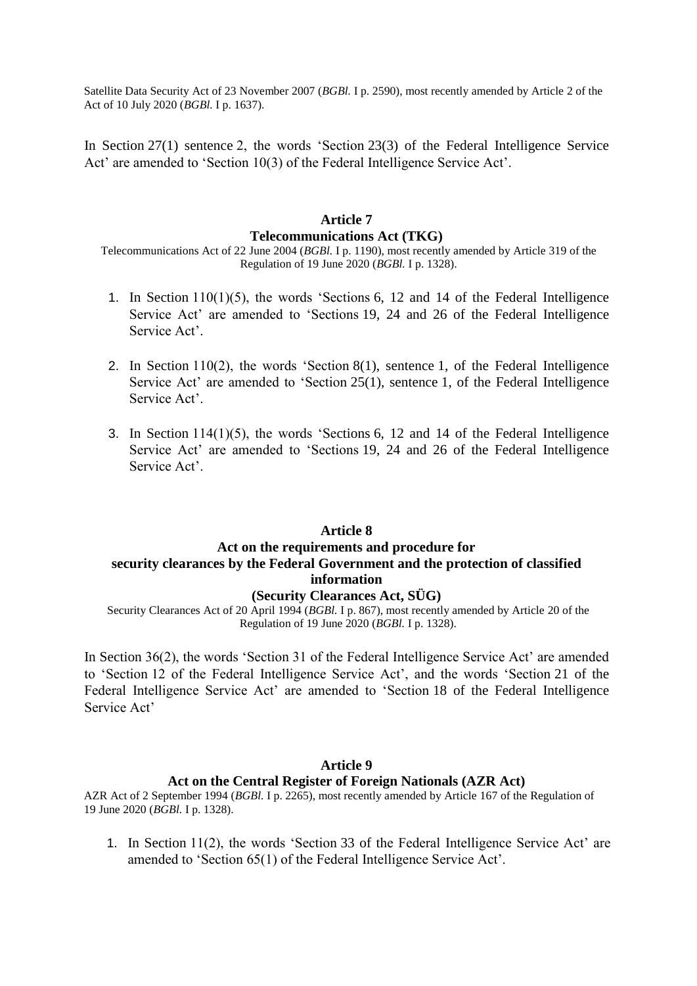Satellite Data Security Act of 23 November 2007 (*BGBl.* I p. 2590), most recently amended by Article 2 of the Act of 10 July 2020 (*BGBl.* I p. 1637).

In Section 27(1) sentence 2, the words 'Section 23(3) of the Federal Intelligence Service Act' are amended to 'Section 10(3) of the Federal Intelligence Service Act'.

# **Article 7 Telecommunications Act (TKG)**

Telecommunications Act of 22 June 2004 (*BGBl.* I p. 1190), most recently amended by Article 319 of the Regulation of 19 June 2020 (*BGBl.* I p. 1328).

- 1. In Section 110(1)(5), the words 'Sections 6, 12 and 14 of the Federal Intelligence Service Act' are amended to 'Sections 19, 24 and 26 of the Federal Intelligence Service Act'.
- 2. In Section 110(2), the words 'Section 8(1), sentence 1, of the Federal Intelligence Service Act' are amended to 'Section 25(1), sentence 1, of the Federal Intelligence Service Act'.
- 3. In Section 114(1)(5), the words 'Sections 6, 12 and 14 of the Federal Intelligence Service Act' are amended to 'Sections 19, 24 and 26 of the Federal Intelligence Service Act'.

#### **Article 8**

# **Act on the requirements and procedure for security clearances by the Federal Government and the protection of classified information**

# **(Security Clearances Act, SÜG)**

Security Clearances Act of 20 April 1994 (*BGBl.* I p. 867), most recently amended by Article 20 of the Regulation of 19 June 2020 (*BGBl.* I p. 1328).

In Section 36(2), the words 'Section 31 of the Federal Intelligence Service Act' are amended to 'Section 12 of the Federal Intelligence Service Act', and the words 'Section 21 of the Federal Intelligence Service Act' are amended to 'Section 18 of the Federal Intelligence Service Act'

### **Article 9 Act on the Central Register of Foreign Nationals (AZR Act)**

AZR Act of 2 September 1994 (*BGBl.* I p. 2265), most recently amended by Article 167 of the Regulation of 19 June 2020 (*BGBl.* I p. 1328).

1. In Section 11(2), the words 'Section 33 of the Federal Intelligence Service Act' are amended to 'Section 65(1) of the Federal Intelligence Service Act'.